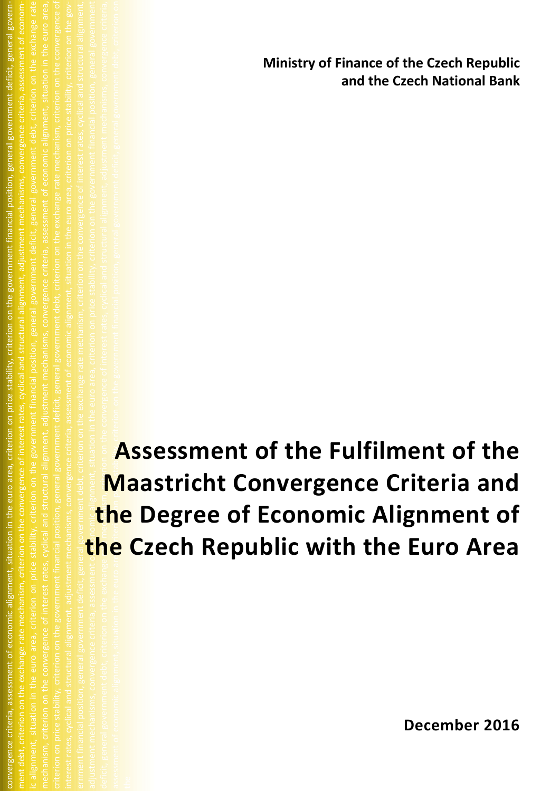**Ministry of Finance of the Czech Republic and the Czech National Bank**

adjustment mechanisms, convergence criteria, assessment of economic alignment, situation in the euro area, criterion on price stability, criterion on the government financial position, general government deficit, general government debt, criterion on the exchange rate mechanism, criterion on the convergence of interest rates, cyclical and structural alignment, adjustment mechanisms, convergence criteria, assessment of economic alignment, situation in the euro are **price area, criterion** on the government financial position, general government debt, criterion on experal government debt, criterion on **Assessment of the Fulfilment of the Maastricht Convergence Criteria and the Degree of Economic Alignment of the Czech Republic with the Euro Area**

convergence criteria, assessment of economic alignment, situation in the euro area, criterion on price stability, criterion on the government financial position, general government deficit, general government debt, criterion on the exchange rate mechanism, criterion on the convergence of interest rates, cyclical and structural alignment, adjustment mechanisms, convergence criteria, assessment of econom-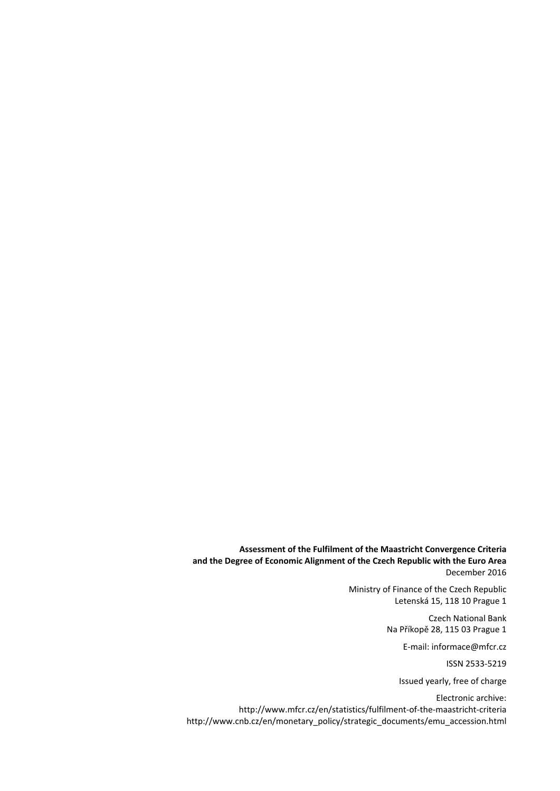**Assessment of the Fulfilment of the Maastricht Convergence Criteria and the Degree of Economic Alignment of the Czech Republic with the Euro Area** December 2016

> Ministry of Finance of the Czech Republic Letenská 15, 118 10 Prague 1

> > Czech National Bank Na Příkopě 28, 115 03 Prague 1

> > > E-mail: informace@mfcr.cz

ISSN 2533-5219

Issued yearly, free of charge

Electronic archive: http://www.mfcr.cz/en/statistics/fulfilment-of-the-maastricht-criteria [http://www.cnb.cz/en/monetary\\_policy/strategic\\_documents/emu\\_accession.html](http://www.cnb.cz/en/monetary_policy/strategic_documents/emu_accession.html)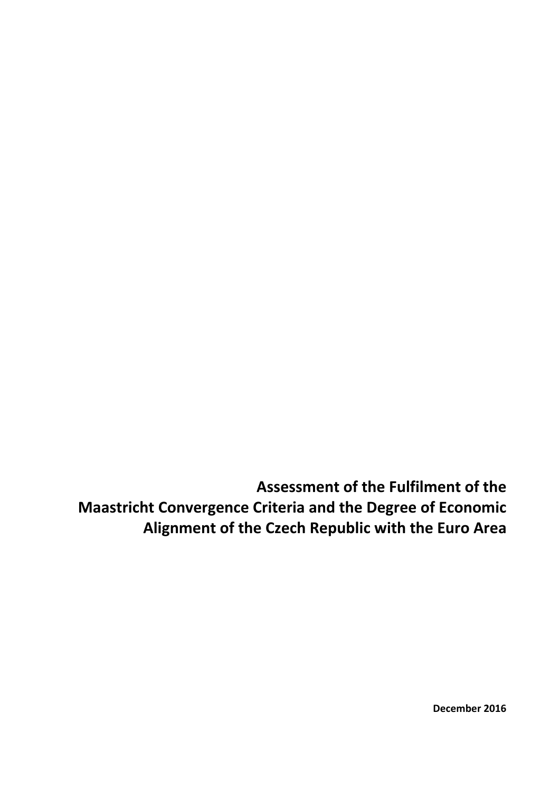**Assessment of the Fulfilment of the Maastricht Convergence Criteria and the Degree of Economic Alignment of the Czech Republic with the Euro Area**

**December 2016**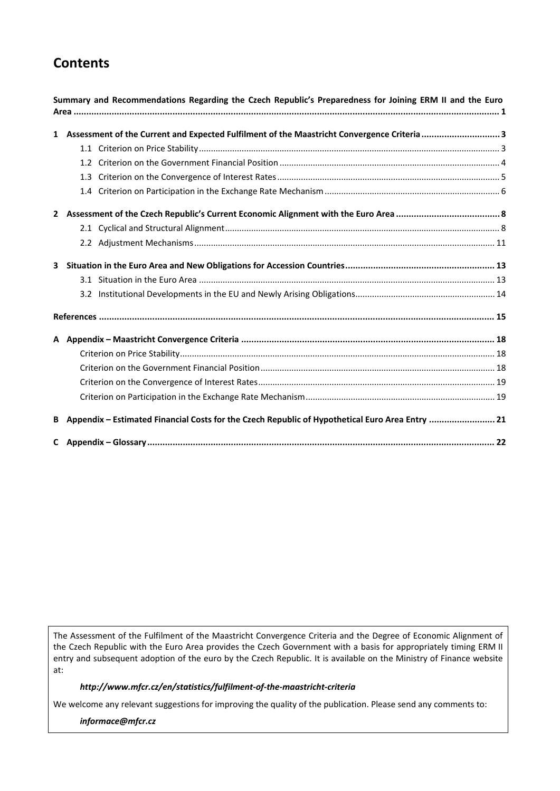# **Contents**

|   | Summary and Recommendations Regarding the Czech Republic's Preparedness for Joining ERM II and the Euro |  |
|---|---------------------------------------------------------------------------------------------------------|--|
|   | 1 Assessment of the Current and Expected Fulfilment of the Maastricht Convergence Criteria  3           |  |
|   |                                                                                                         |  |
|   |                                                                                                         |  |
|   |                                                                                                         |  |
|   |                                                                                                         |  |
|   |                                                                                                         |  |
|   |                                                                                                         |  |
|   |                                                                                                         |  |
| 3 |                                                                                                         |  |
|   |                                                                                                         |  |
|   |                                                                                                         |  |
|   |                                                                                                         |  |
|   |                                                                                                         |  |
|   |                                                                                                         |  |
|   |                                                                                                         |  |
|   |                                                                                                         |  |
|   |                                                                                                         |  |
| В | Appendix - Estimated Financial Costs for the Czech Republic of Hypothetical Euro Area Entry  21         |  |
|   |                                                                                                         |  |

The Assessment of the Fulfilment of the Maastricht Convergence Criteria and the Degree of Economic Alignment of the Czech Republic with the Euro Area provides the Czech Government with a basis for appropriately timing ERM II entry and subsequent adoption of the euro by the Czech Republic. It is available on the Ministry of Finance website at:

## *http://www.mfcr.cz/en/statistics/fulfilment-of-the-maastricht-criteria*

We welcome any relevant suggestions for improving the quality of the publication. Please send any comments to:

*informace@mfcr.cz*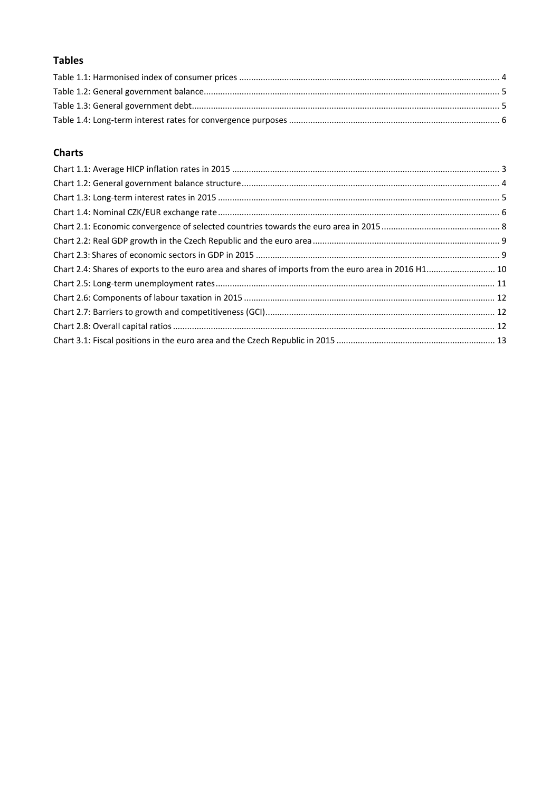# **Tables**

## **Charts**

| Chart 2.4: Shares of exports to the euro area and shares of imports from the euro area in 2016 H1 10 |  |
|------------------------------------------------------------------------------------------------------|--|
|                                                                                                      |  |
|                                                                                                      |  |
|                                                                                                      |  |
|                                                                                                      |  |
|                                                                                                      |  |
|                                                                                                      |  |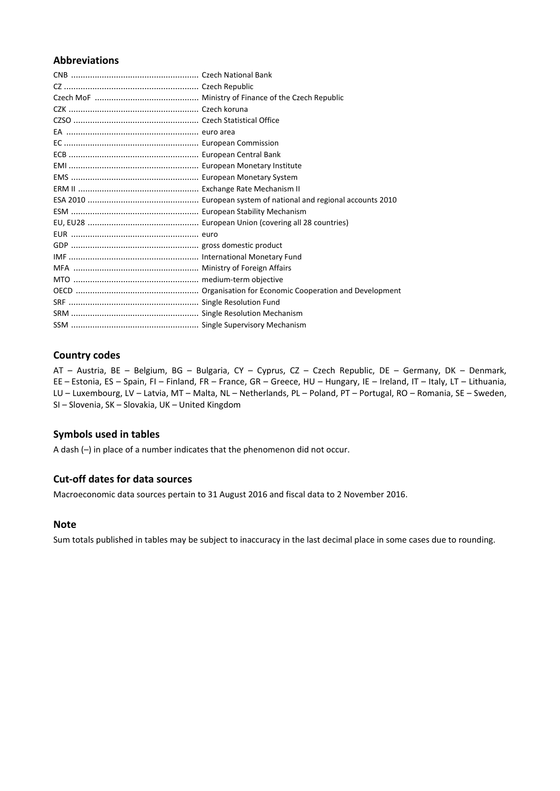## **Abbreviations**

## **Country codes**

AT – Austria, BE – Belgium, BG – Bulgaria, CY – Cyprus, CZ – Czech Republic, DE – Germany, DK – Denmark, EE – Estonia, ES – Spain, FI – Finland, FR – France, GR – Greece, HU – Hungary, IE – Ireland, IT – Italy, LT – Lithuania, LU – Luxembourg, LV – Latvia, MT – Malta, NL – Netherlands, PL – Poland, PT – Portugal, RO – Romania, SE – Sweden, SI – Slovenia, SK – Slovakia, UK – United Kingdom

## **Symbols used in tables**

A dash (–) in place of a number indicates that the phenomenon did not occur.

## **Cut-off dates for data sources**

Macroeconomic data sources pertain to 31 August 2016 and fiscal data to 2 November 2016.

## **Note**

Sum totals published in tables may be subject to inaccuracy in the last decimal place in some cases due to rounding.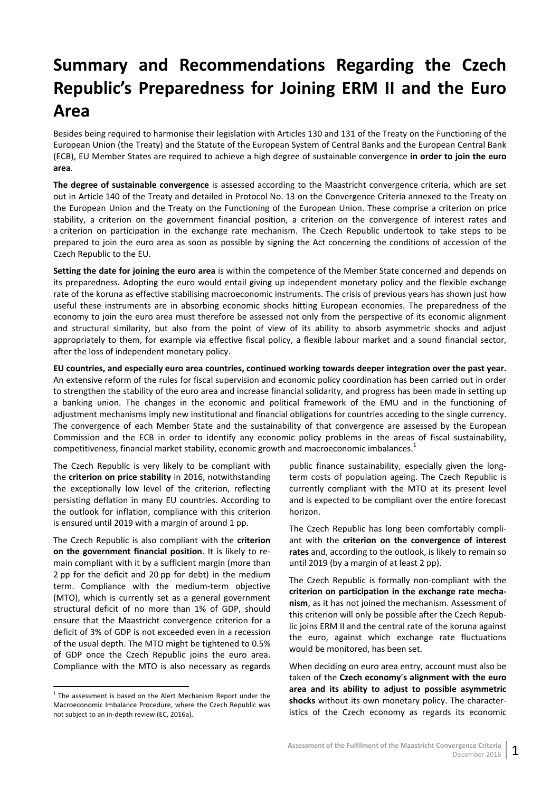# <span id="page-6-0"></span>**Summary and Recommendations Regarding the Czech Republic's Preparedness for Joining ERM II and the Euro Area**

Besides being required to harmonise their legislation with Articles 130 and 131 of the Treaty on the Functioning of the European Union (the Treaty) and the Statute of the European System of Central Banks and the European Central Bank (ECB), EU Member States are required to achieve a high degree of sustainable convergence **in order to join the euro area**.

**The degree of sustainable convergence** is assessed according to the Maastricht convergence criteria, which are set out in Article 140 of the Treaty and detailed in Protocol No. 13 on the Convergence Criteria annexed to the Treaty on the European Union and the Treaty on the Functioning of the European Union. These comprise a criterion on price stability, a criterion on the government financial position, a criterion on the convergence of interest rates and a criterion on participation in the exchange rate mechanism. The Czech Republic undertook to take steps to be prepared to join the euro area as soon as possible by signing the Act concerning the conditions of accession of the Czech Republic to the EU.

**Setting the date for joining the euro area** is within the competence of the Member State concerned and depends on its preparedness. Adopting the euro would entail giving up independent monetary policy and the flexible exchange rate of the koruna as effective stabilising macroeconomic instruments. The crisis of previous years has shown just how useful these instruments are in absorbing economic shocks hitting European economies. The preparedness of the economy to join the euro area must therefore be assessed not only from the perspective of its economic alignment and structural similarity, but also from the point of view of its ability to absorb asymmetric shocks and adjust appropriately to them, for example via effective fiscal policy, a flexible labour market and a sound financial sector, after the loss of independent monetary policy.

**EU countries, and especially euro area countries, continued working towards deeper integration over the past year.** An extensive reform of the rules for fiscal supervision and economic policy coordination has been carried out in order to strengthen the stability of the euro area and increase financial solidarity, and progress has been made in setting up a banking union. The changes in the economic and political framework of the EMU and in the functioning of adjustment mechanisms imply new institutional and financial obligations for countries acceding to the single currency. The convergence of each Member State and the sustainability of that convergence are assessed by the European Commission and the ECB in order to identify any economic policy problems in the areas of fiscal sustainability, competitiveness, financial market stability, economic growth and macroeconomic imbalances.<sup>1</sup>

The Czech Republic is very likely to be compliant with the **criterion on price stability** in 2016, notwithstanding the exceptionally low level of the criterion, reflecting persisting deflation in many EU countries. According to the outlook for inflation, compliance with this criterion is ensured until 2019 with a margin of around 1 pp.

The Czech Republic is also compliant with the **criterion on the government financial position**. It is likely to remain compliant with it by a sufficient margin (more than 2 pp for the deficit and 20 pp for debt) in the medium term. Compliance with the medium-term objective (MTO), which is currently set as a general government structural deficit of no more than 1% of GDP, should ensure that the Maastricht convergence criterion for a deficit of 3% of GDP is not exceeded even in a recession of the usual depth. The MTO might be tightened to 0.5% of GDP once the Czech Republic joins the euro area. Compliance with the MTO is also necessary as regards

public finance sustainability, especially given the longterm costs of population ageing. The Czech Republic is currently compliant with the MTO at its present level and is expected to be compliant over the entire forecast horizon.

The Czech Republic has long been comfortably compliant with the **criterion on the convergence of interest rates** and, according to the outlook, is likely to remain so until 2019 (by a margin of at least 2 pp).

The Czech Republic is formally non-compliant with the **criterion on participation in the exchange rate mechanism**, as it has not joined the mechanism. Assessment of this criterion will only be possible after the Czech Republic joins ERM II and the central rate of the koruna against the euro, against which exchange rate fluctuations would be monitored, has been set.

When deciding on euro area entry, account must also be taken of the **Czech economy**'**s alignment with the euro area and its ability to adjust to possible asymmetric shocks** without its own monetary policy. The characteristics of the Czech economy as regards its economic

 $1$  The assessment is based on the Alert Mechanism Report under the Macroeconomic Imbalance Procedure, where the Czech Republic was not subject to an in-depth review (EC, 2016a).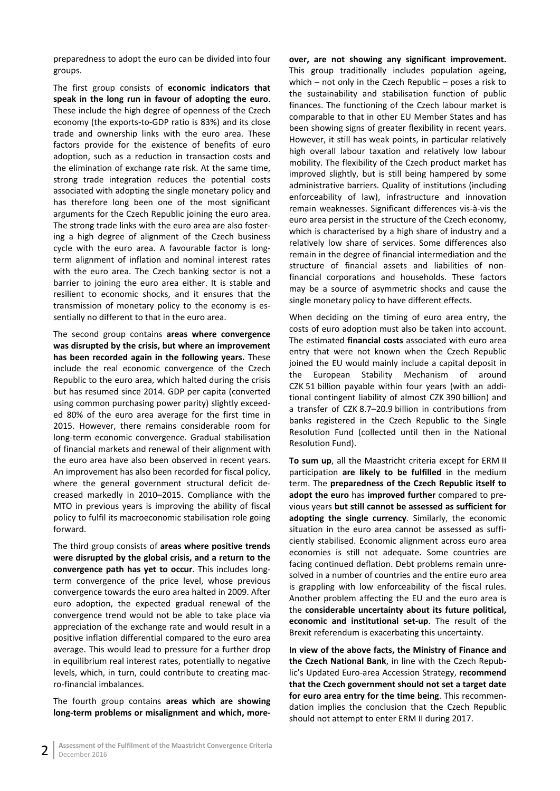preparedness to adopt the euro can be divided into four groups.

The first group consists of **economic indicators that speak in the long run in favour of adopting the euro**. These include the high degree of openness of the Czech economy (the exports-to-GDP ratio is 83%) and its close trade and ownership links with the euro area. These factors provide for the existence of benefits of euro adoption, such as a reduction in transaction costs and the elimination of exchange rate risk. At the same time, strong trade integration reduces the potential costs associated with adopting the single monetary policy and has therefore long been one of the most significant arguments for the Czech Republic joining the euro area. The strong trade links with the euro area are also fostering a high degree of alignment of the Czech business cycle with the euro area. A favourable factor is longterm alignment of inflation and nominal interest rates with the euro area. The Czech banking sector is not a barrier to joining the euro area either. It is stable and resilient to economic shocks, and it ensures that the transmission of monetary policy to the economy is essentially no different to that in the euro area.

The second group contains **areas where convergence was disrupted by the crisis, but where an improvement has been recorded again in the following years.** These include the real economic convergence of the Czech Republic to the euro area, which halted during the crisis but has resumed since 2014. GDP per capita (converted using common purchasing power parity) slightly exceeded 80% of the euro area average for the first time in 2015. However, there remains considerable room for long-term economic convergence. Gradual stabilisation of financial markets and renewal of their alignment with the euro area have also been observed in recent years. An improvement has also been recorded for fiscal policy, where the general government structural deficit decreased markedly in 2010–2015. Compliance with the MTO in previous years is improving the ability of fiscal policy to fulfil its macroeconomic stabilisation role going forward.

The third group consists of **areas where positive trends were disrupted by the global crisis, and a return to the convergence path has yet to occur**. This includes longterm convergence of the price level, whose previous convergence towards the euro area halted in 2009. After euro adoption, the expected gradual renewal of the convergence trend would not be able to take place via appreciation of the exchange rate and would result in a positive inflation differential compared to the euro area average. This would lead to pressure for a further drop in equilibrium real interest rates, potentially to negative levels, which, in turn, could contribute to creating macro-financial imbalances.

The fourth group contains **areas which are showing long-term problems or misalignment and which, more-** **over, are not showing any significant improvement.** This group traditionally includes population ageing, which – not only in the Czech Republic – poses a risk to the sustainability and stabilisation function of public finances. The functioning of the Czech labour market is comparable to that in other EU Member States and has been showing signs of greater flexibility in recent years. However, it still has weak points, in particular relatively high overall labour taxation and relatively low labour mobility. The flexibility of the Czech product market has improved slightly, but is still being hampered by some administrative barriers. Quality of institutions (including enforceability of law), infrastructure and innovation remain weaknesses. Significant differences vis-à-vis the euro area persist in the structure of the Czech economy, which is characterised by a high share of industry and a relatively low share of services. Some differences also remain in the degree of financial intermediation and the structure of financial assets and liabilities of nonfinancial corporations and households. These factors may be a source of asymmetric shocks and cause the single monetary policy to have different effects.

When deciding on the timing of euro area entry, the costs of euro adoption must also be taken into account. The estimated **financial costs** associated with euro area entry that were not known when the Czech Republic joined the EU would mainly include a capital deposit in the European Stability Mechanism of around CZK 51 billion payable within four years (with an additional contingent liability of almost CZK 390 billion) and a transfer of CZK 8.7–20.9 billion in contributions from banks registered in the Czech Republic to the Single Resolution Fund (collected until then in the National Resolution Fund).

**To sum up**, all the Maastricht criteria except for ERM II participation **are likely to be fulfilled** in the medium term. The **preparedness of the Czech Republic itself to adopt the euro** has **improved further** compared to previous years **but still cannot be assessed as sufficient for adopting the single currency**. Similarly, the economic situation in the euro area cannot be assessed as sufficiently stabilised. Economic alignment across euro area economies is still not adequate. Some countries are facing continued deflation. Debt problems remain unresolved in a number of countries and the entire euro area is grappling with low enforceability of the fiscal rules. Another problem affecting the EU and the euro area is the **considerable uncertainty about its future political, economic and institutional set-up**. The result of the Brexit referendum is exacerbating this uncertainty.

**In view of the above facts, the Ministry of Finance and the Czech National Bank**, in line with the Czech Republic's Updated Euro-area Accession Strategy, **recommend that the Czech government should not set a target date for euro area entry for the time being**. This recommendation implies the conclusion that the Czech Republic should not attempt to enter ERM II during 2017.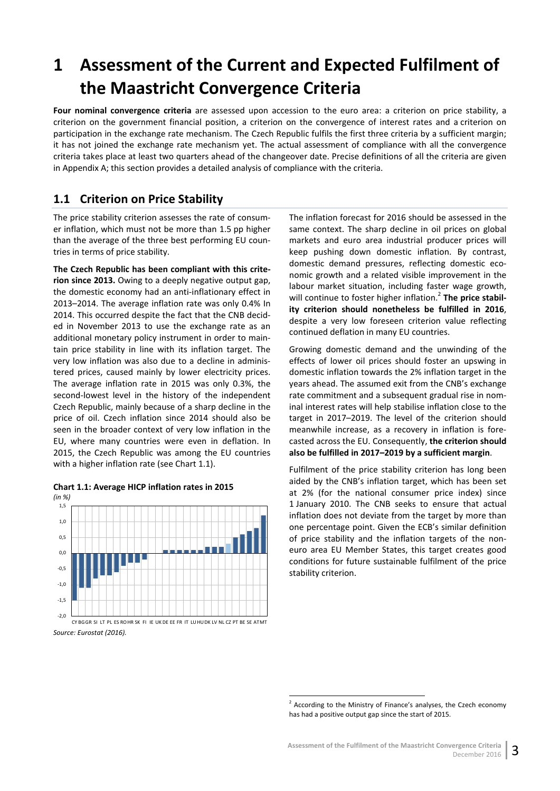# <span id="page-8-0"></span>**1 Assessment of the Current and Expected Fulfilment of the Maastricht Convergence Criteria**

**Four nominal convergence criteria** are assessed upon accession to the euro area: a criterion on price stability, a criterion on the government financial position, a criterion on the convergence of interest rates and a criterion on participation in the exchange rate mechanism. The Czech Republic fulfils the first three criteria by a sufficient margin; it has not joined the exchange rate mechanism yet. The actual assessment of compliance with all the convergence criteria takes place at least two quarters ahead of the changeover date. Precise definitions of all the criteria are given in Appendix A; this section provides a detailed analysis of compliance with the criteria.

# <span id="page-8-1"></span>**1.1 Criterion on Price Stability**

The price stability criterion assesses the rate of consumer inflation, which must not be more than 1.5 pp higher than the average of the three best performing EU countries in terms of price stability.

**The Czech Republic has been compliant with this criterion since 2013.** Owing to a deeply negative output gap, the domestic economy had an anti-inflationary effect in 2013–2014. The average inflation rate was only 0.4% In 2014. This occurred despite the fact that the CNB decided in November 2013 to use the exchange rate as an additional monetary policy instrument in order to maintain price stability in line with its inflation target. The very low inflation was also due to a decline in administered prices, caused mainly by lower electricity prices. The average inflation rate in 2015 was only 0.3%, the second-lowest level in the history of the independent Czech Republic, mainly because of a sharp decline in the price of oil. Czech inflation since 2014 should also be seen in the broader context of very low inflation in the EU, where many countries were even in deflation. In 2015, the Czech Republic was among the EU countries with a higher inflation rate (see Chart 1.1).

<span id="page-8-2"></span>

The inflation forecast for 2016 should be assessed in the same context. The sharp decline in oil prices on global markets and euro area industrial producer prices will keep pushing down domestic inflation. By contrast, domestic demand pressures, reflecting domestic economic growth and a related visible improvement in the labour market situation, including faster wage growth, will continue to foster higher inflation.<sup>2</sup> The price stabil**ity criterion should nonetheless be fulfilled in 2016**, despite a very low foreseen criterion value reflecting continued deflation in many EU countries.

Growing domestic demand and the unwinding of the effects of lower oil prices should foster an upswing in domestic inflation towards the 2% inflation target in the years ahead. The assumed exit from the CNB's exchange rate commitment and a subsequent gradual rise in nominal interest rates will help stabilise inflation close to the target in 2017–2019. The level of the criterion should meanwhile increase, as a recovery in inflation is forecasted across the EU. Consequently, **the criterion should also be fulfilled in 2017–2019 by a sufficient margin**.

Fulfilment of the price stability criterion has long been aided by the CNB's inflation target, which has been set at 2% (for the national consumer price index) since 1 January 2010. The CNB seeks to ensure that actual inflation does not deviate from the target by more than one percentage point. Given the ECB's similar definition of price stability and the inflation targets of the noneuro area EU Member States, this target creates good conditions for future sustainable fulfilment of the price stability criterion.

 $2$  According to the Ministry of Finance's analyses, the Czech economy has had a positive output gap since the start of 2015.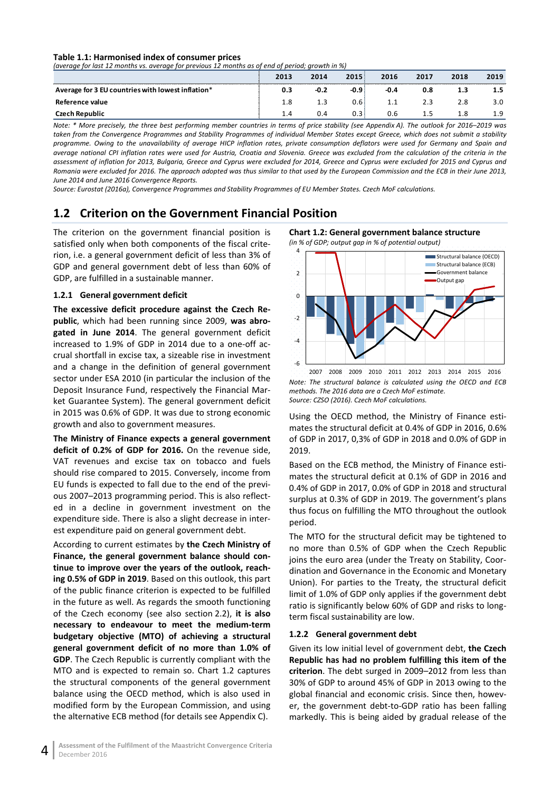#### <span id="page-9-1"></span>**Table 1.1: Harmonised index of consumer prices**

*(average for last 12 months vs. average for previous 12 months as of end of period; growth in %)*

|                                                   | 2013 | 2014   | 2015 | 2016 | 2017 | 2018 | 2019 |
|---------------------------------------------------|------|--------|------|------|------|------|------|
| Average for 3 EU countries with lowest inflation* | 0.3  | $-0.2$ | -0.9 | -0.4 | 0.8  | 1.3  |      |
| Reference value                                   |      |        | 0.6  | 1.1  |      |      |      |
|                                                   |      | 0.4    | 0.3  | J.b  |      |      |      |

*Note: \* More precisely, the three best performing member countries in terms of price stability (see Appendix A). The outlook for 2016–2019 was taken from the Convergence Programmes and Stability Programmes of individual Member States except Greece, which does not submit a stability programme. Owing to the unavailability of average HICP inflation rates, private consumption deflators were used for Germany and Spain and average national CPI inflation rates were used for Austria, Croatia and Slovenia. Greece was excluded from the calculation of the criteria in the assessment of inflation for 2013, Bulgaria, Greece and Cyprus were excluded for 2014, Greece and Cyprus were excluded for 2015 and Cyprus and Romania were excluded for 2016. The approach adopted was thus similar to that used by the European Commission and the ECB in their June 2013, June 2014 and June 2016 Convergence Reports.*

*Source: Eurostat (2016a), Convergence Programmes and Stability Programmes of EU Member States. Czech MoF calculations.*

## <span id="page-9-0"></span>**1.2 Criterion on the Government Financial Position**

The criterion on the government financial position is satisfied only when both components of the fiscal criterion, i.e. a general government deficit of less than 3% of GDP and general government debt of less than 60% of GDP, are fulfilled in a sustainable manner.

#### **1.2.1 General government deficit**

**The excessive deficit procedure against the Czech Republic**, which had been running since 2009, **was abrogated in June 2014**. The general government deficit increased to 1.9% of GDP in 2014 due to a one-off accrual shortfall in excise tax, a sizeable rise in investment and a change in the definition of general government sector under ESA 2010 (in particular the inclusion of the Deposit Insurance Fund, respectively the Financial Market Guarantee System). The general government deficit in 2015 was 0.6% of GDP. It was due to strong economic growth and also to government measures.

**The Ministry of Finance expects a general government deficit of 0.2% of GDP for 2016.** On the revenue side, VAT revenues and excise tax on tobacco and fuels should rise compared to 2015. Conversely, income from EU funds is expected to fall due to the end of the previous 2007–2013 programming period. This is also reflected in a decline in government investment on the expenditure side. There is also a slight decrease in interest expenditure paid on general government debt.

According to current estimates by **the Czech Ministry of Finance, the general government balance should continue to improve over the years of the outlook, reaching 0.5% of GDP in 2019**. Based on this outlook, this part of the public finance criterion is expected to be fulfilled in the future as well. As regards the smooth functioning of the Czech economy (see also section 2.2), **it is also necessary to endeavour to meet the medium-term budgetary objective (MTO) of achieving a structural general government deficit of no more than 1.0% of GDP**. The Czech Republic is currently compliant with the MTO and is expected to remain so. Chart 1.2 captures the structural components of the general government balance using the OECD method, which is also used in modified form by the European Commission, and using the alternative ECB method (for details see Appendix C).

#### <span id="page-9-2"></span>**Chart 1.2: General government balance structure**

*(in % of GDP; output gap in % of potential output)*



*Note: The structural balance is calculated using the OECD and ECB methods. The 2016 data are a Czech MoF estimate. Source: CZSO (2016). Czech MoF calculations.* 2007 2008 2009 2010 2011 2012 2013 2014 2015 2016

Using the OECD method, the Ministry of Finance estimates the structural deficit at 0.4% of GDP in 2016, 0.6% of GDP in 2017, 0,3% of GDP in 2018 and 0.0% of GDP in 2019.

Based on the ECB method, the Ministry of Finance estimates the structural deficit at 0.1% of GDP in 2016 and 0.4% of GDP in 2017, 0.0% of GDP in 2018 and structural surplus at 0.3% of GDP in 2019. The government's plans thus focus on fulfilling the MTO throughout the outlook period.

The MTO for the structural deficit may be tightened to no more than 0.5% of GDP when the Czech Republic joins the euro area (under the Treaty on Stability, Coordination and Governance in the Economic and Monetary Union). For parties to the Treaty, the structural deficit limit of 1.0% of GDP only applies if the government debt ratio is significantly below 60% of GDP and risks to longterm fiscal sustainability are low.

#### **1.2.2 General government debt**

Given its low initial level of government debt, **the Czech Republic has had no problem fulfilling this item of the criterion**. The debt surged in 2009–2012 from less than 30% of GDP to around 45% of GDP in 2013 owing to the global financial and economic crisis. Since then, however, the government debt-to-GDP ratio has been falling markedly. This is being aided by gradual release of the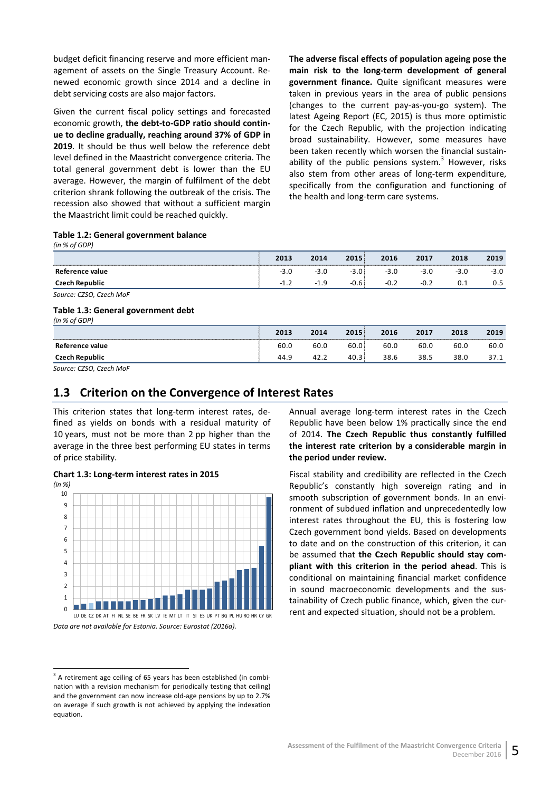budget deficit financing reserve and more efficient management of assets on the Single Treasury Account. Renewed economic growth since 2014 and a decline in debt servicing costs are also major factors.

Given the current fiscal policy settings and forecasted economic growth, **the debt-to-GDP ratio should continue to decline gradually, reaching around 37% of GDP in 2019**. It should be thus well below the reference debt level defined in the Maastricht convergence criteria. The total general government debt is lower than the EU average. However, the margin of fulfilment of the debt criterion shrank following the outbreak of the crisis. The recession also showed that without a sufficient margin the Maastricht limit could be reached quickly.

**The adverse fiscal effects of population ageing pose the main risk to the long-term development of general government finance.** Quite significant measures were taken in previous years in the area of public pensions (changes to the current pay-as-you-go system). The latest Ageing Report (EC, 2015) is thus more optimistic for the Czech Republic, with the projection indicating broad sustainability. However, some measures have been taken recently which worsen the financial sustainability of the public pensions system.<sup>3</sup> However, risks also stem from other areas of long-term expenditure, specifically from the configuration and functioning of the health and long-term care systems.

#### <span id="page-10-1"></span>**Table 1.2: General government balance**

| . <del>. .</del> . |        |      |        |           |      |      |      |
|--------------------|--------|------|--------|-----------|------|------|------|
|                    | 2013   | 2014 | 2015   | 2016      | 2017 | 2018 | 2019 |
| Reference value    | -3.U   | - -  | $-3.0$ | -5<br>9.U | -3.U | --   | -3   |
| Czech Republic     | -<br>. | - 1  | .u.u   | $-U.L$    | -∪.∠ |      | ∪.∟  |
|                    |        |      |        |           |      |      |      |

*Source: CZSO, Czech MoF*

*(in % of GDP)*

*(in % of GDP)*

 $\overline{a}$ 

#### <span id="page-10-2"></span>**Table 1.3: General government debt**

|                 | 2013 | 2014 | 2015 | 2016 | 2017 | 2018 | 2019 |
|-----------------|------|------|------|------|------|------|------|
| Reference value | 60.0 | 60.0 | 60.0 | 60.0 | 60.0 | 60.0 | 60.0 |
| Czech Republic  | 44.9 | 42.2 | 40.3 | 38.6 | 38.5 | 38.0 | 37.1 |

*Source: CZSO, Czech MoF*

## <span id="page-10-0"></span>**1.3 Criterion on the Convergence of Interest Rates**

This criterion states that long-term interest rates, defined as yields on bonds with a residual maturity of 10 years, must not be more than 2 pp higher than the average in the three best performing EU states in terms of price stability.

<span id="page-10-3"></span>

Annual average long-term interest rates in the Czech Republic have been below 1% practically since the end of 2014. **The Czech Republic thus constantly fulfilled the interest rate criterion by a considerable margin in the period under review.**

Fiscal stability and credibility are reflected in the Czech Republic's constantly high sovereign rating and in smooth subscription of government bonds. In an environment of subdued inflation and unprecedentedly low interest rates throughout the EU, this is fostering low Czech government bond yields. Based on developments to date and on the construction of this criterion, it can be assumed that **the Czech Republic should stay compliant with this criterion in the period ahead**. This is conditional on maintaining financial market confidence in sound macroeconomic developments and the sustainability of Czech public finance, which, given the current and expected situation, should not be a problem.

<sup>&</sup>lt;sup>3</sup> A retirement age ceiling of 65 years has been established (in combination with a revision mechanism for periodically testing that ceiling) and the government can now increase old-age pensions by up to 2.7% on average if such growth is not achieved by applying the indexation equation.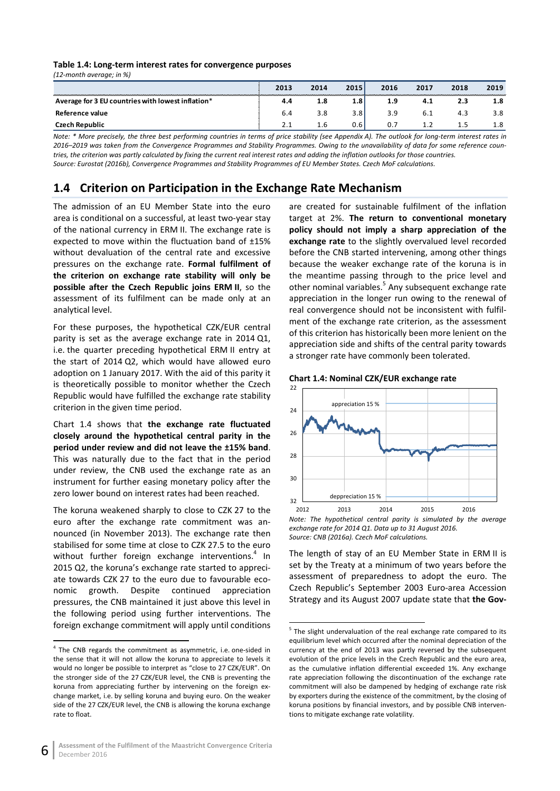#### <span id="page-11-1"></span>**Table 1.4: Long-term interest rates for convergence purposes**

*(12-month average; in %)*

|                                                   | 2013          | 2014 | 2015          | 2016 | 2017         | 2018 | 2019 |
|---------------------------------------------------|---------------|------|---------------|------|--------------|------|------|
| Average for 3 EU countries with lowest inflation* | 4.4           | 1.8  | $1.8^{\circ}$ | 1.9  | 4.1          | 2.3  | 1.8  |
| Reference value                                   | 6.4           | 3.8  | 3.8           | 3.9  | b.1          | د.4  |      |
| Czech Republic                                    | $\mathcal{P}$ | 1.6  | 0.6           |      | . . <u>.</u> |      |      |

*Note: \* More precisely, the three best performing countries in terms of price stability (see Appendix A). The outlook for long-term interest rates in 2016–2019 was taken from the Convergence Programmes and Stability Programmes. Owing to the unavailability of data for some reference countries, the criterion was partly calculated by fixing the current real interest rates and adding the inflation outlooks for those countries. Source: Eurostat (2016b), Convergence Programmes and Stability Programmes of EU Member States. Czech MoF calculations.*

# <span id="page-11-0"></span>**1.4 Criterion on Participation in the Exchange Rate Mechanism**

The admission of an EU Member State into the euro area is conditional on a successful, at least two-year stay of the national currency in ERM II. The exchange rate is expected to move within the fluctuation band of ±15% without devaluation of the central rate and excessive pressures on the exchange rate. **Formal fulfilment of the criterion on exchange rate stability will only be possible after the Czech Republic joins ERM II**, so the assessment of its fulfilment can be made only at an analytical level.

For these purposes, the hypothetical CZK/EUR central parity is set as the average exchange rate in 2014 Q1, i.e. the quarter preceding hypothetical ERM II entry at the start of 2014 Q2, which would have allowed euro adoption on 1 January 2017. With the aid of this parity it is theoretically possible to monitor whether the Czech Republic would have fulfilled the exchange rate stability criterion in the given time period.

Chart 1.4 shows that **the exchange rate fluctuated closely around the hypothetical central parity in the period under review and did not leave the ±15% band**. This was naturally due to the fact that in the period under review, the CNB used the exchange rate as an instrument for further easing monetary policy after the zero lower bound on interest rates had been reached.

The koruna weakened sharply to close to CZK 27 to the euro after the exchange rate commitment was announced (in November 2013). The exchange rate then stabilised for some time at close to CZK 27.5 to the euro without further foreign exchange interventions.<sup>4</sup> In 2015 Q2, the koruna's exchange rate started to appreciate towards CZK 27 to the euro due to favourable economic growth. Despite continued appreciation pressures, the CNB maintained it just above this level in the following period using further interventions. The foreign exchange commitment will apply until conditions

are created for sustainable fulfilment of the inflation target at 2%. **The return to conventional monetary policy should not imply a sharp appreciation of the exchange rate** to the slightly overvalued level recorded before the CNB started intervening, among other things because the weaker exchange rate of the koruna is in the meantime passing through to the price level and other nominal variables.<sup>5</sup> Any subsequent exchange rate appreciation in the longer run owing to the renewal of real convergence should not be inconsistent with fulfilment of the exchange rate criterion, as the assessment of this criterion has historically been more lenient on the appreciation side and shifts of the central parity towards a stronger rate have commonly been tolerated.

<span id="page-11-2"></span>**Chart 1.4: Nominal CZK/EUR exchange rate**



*Note: The hypothetical central parity is simulated by the average exchange rate for 2014 Q1. Data up to 31 August 2016. Source: CNB (2016a). Czech MoF calculations.*

The length of stay of an EU Member State in ERM II is set by the Treaty at a minimum of two years before the assessment of preparedness to adopt the euro. The Czech Republic's September 2003 Euro-area Accession Strategy and its August 2007 update state that **the Gov-**

 <sup>4</sup> The CNB regards the commitment as asymmetric, i.e. one-sided in the sense that it will not allow the koruna to appreciate to levels it would no longer be possible to interpret as "close to 27 CZK/EUR". On the stronger side of the 27 CZK/EUR level, the CNB is preventing the koruna from appreciating further by intervening on the foreign exchange market, i.e. by selling koruna and buying euro. On the weaker side of the 27 CZK/EUR level, the CNB is allowing the koruna exchange rate to float.

 $5$  The slight undervaluation of the real exchange rate compared to its equilibrium level which occurred after the nominal depreciation of the currency at the end of 2013 was partly reversed by the subsequent evolution of the price levels in the Czech Republic and the euro area, as the cumulative inflation differential exceeded 1%. Any exchange rate appreciation following the discontinuation of the exchange rate commitment will also be dampened by hedging of exchange rate risk by exporters during the existence of the commitment, by the closing of koruna positions by financial investors, and by possible CNB interventions to mitigate exchange rate volatility.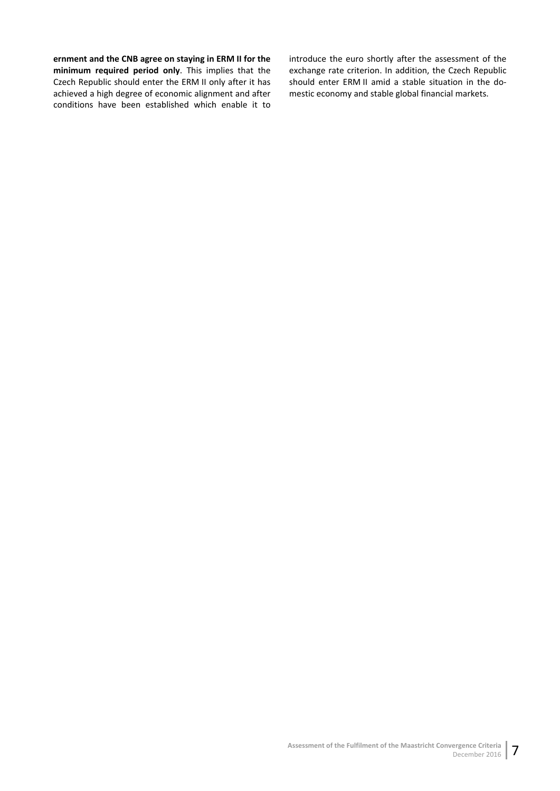#### **ernment and the CNB agree on staying in ERM II for the**

**minimum required period only**. This implies that the Czech Republic should enter the ERM II only after it has achieved a high degree of economic alignment and after conditions have been established which enable it to introduce the euro shortly after the assessment of the exchange rate criterion. In addition, the Czech Republic should enter ERM II amid a stable situation in the domestic economy and stable global financial markets.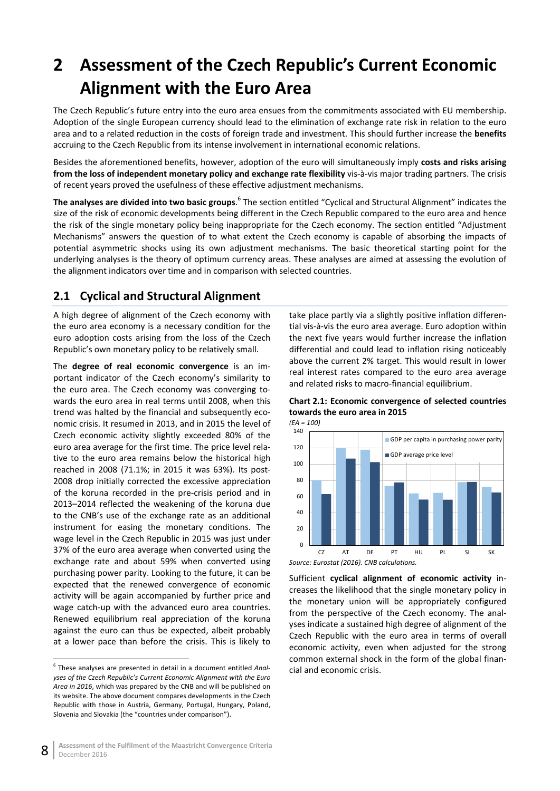# <span id="page-13-0"></span>**2 Assessment of the Czech Republic's Current Economic Alignment with the Euro Area**

The Czech Republic's future entry into the euro area ensues from the commitments associated with EU membership. Adoption of the single European currency should lead to the elimination of exchange rate risk in relation to the euro area and to a related reduction in the costs of foreign trade and investment. This should further increase the **benefits** accruing to the Czech Republic from its intense involvement in international economic relations.

Besides the aforementioned benefits, however, adoption of the euro will simultaneously imply **costs and risks arising from the loss of independent monetary policy and exchange rate flexibility** vis-à-vis major trading partners. The crisis of recent years proved the usefulness of these effective adjustment mechanisms.

**The analyses are divided into two basic groups**.<sup>6</sup> The section entitled "Cyclical and Structural Alignment" indicates the size of the risk of economic developments being different in the Czech Republic compared to the euro area and hence the risk of the single monetary policy being inappropriate for the Czech economy. The section entitled "Adjustment Mechanisms" answers the question of to what extent the Czech economy is capable of absorbing the impacts of potential asymmetric shocks using its own adjustment mechanisms. The basic theoretical starting point for the underlying analyses is the theory of optimum currency areas. These analyses are aimed at assessing the evolution of the alignment indicators over time and in comparison with selected countries.

# <span id="page-13-1"></span>**2.1 Cyclical and Structural Alignment**

A high degree of alignment of the Czech economy with the euro area economy is a necessary condition for the euro adoption costs arising from the loss of the Czech Republic's own monetary policy to be relatively small.

The **degree of real economic convergence** is an important indicator of the Czech economy's similarity to the euro area. The Czech economy was converging towards the euro area in real terms until 2008, when this trend was halted by the financial and subsequently economic crisis. It resumed in 2013, and in 2015 the level of Czech economic activity slightly exceeded 80% of the euro area average for the first time. The price level relative to the euro area remains below the historical high reached in 2008 (71.1%; in 2015 it was 63%). Its post-2008 drop initially corrected the excessive appreciation of the koruna recorded in the pre-crisis period and in 2013–2014 reflected the weakening of the koruna due to the CNB's use of the exchange rate as an additional instrument for easing the monetary conditions. The wage level in the Czech Republic in 2015 was just under 37% of the euro area average when converted using the exchange rate and about 59% when converted using purchasing power parity. Looking to the future, it can be expected that the renewed convergence of economic activity will be again accompanied by further price and wage catch-up with the advanced euro area countries. Renewed equilibrium real appreciation of the koruna against the euro can thus be expected, albeit probably at a lower pace than before the crisis. This is likely to

take place partly via a slightly positive inflation differential vis-à-vis the euro area average. Euro adoption within the next five years would further increase the inflation differential and could lead to inflation rising noticeably above the current 2% target. This would result in lower real interest rates compared to the euro area average and related risks to macro-financial equilibrium.

<span id="page-13-2"></span>



*Source: Eurostat (2016). CNB calculations.*

Sufficient **cyclical alignment of economic activity** increases the likelihood that the single monetary policy in the monetary union will be appropriately configured from the perspective of the Czech economy. The analyses indicate a sustained high degree of alignment of the Czech Republic with the euro area in terms of overall economic activity, even when adjusted for the strong common external shock in the form of the global financial and economic crisis.

 <sup>6</sup> These analyses are presented in detail in a document entitled *Analyses of the Czech Republic's Current Economic Alignment with the Euro Area in 2016*, which was prepared by the CNB and will be published on its website. The above document compares developments in the Czech Republic with those in Austria, Germany, Portugal, Hungary, Poland, Slovenia and Slovakia (the "countries under comparison").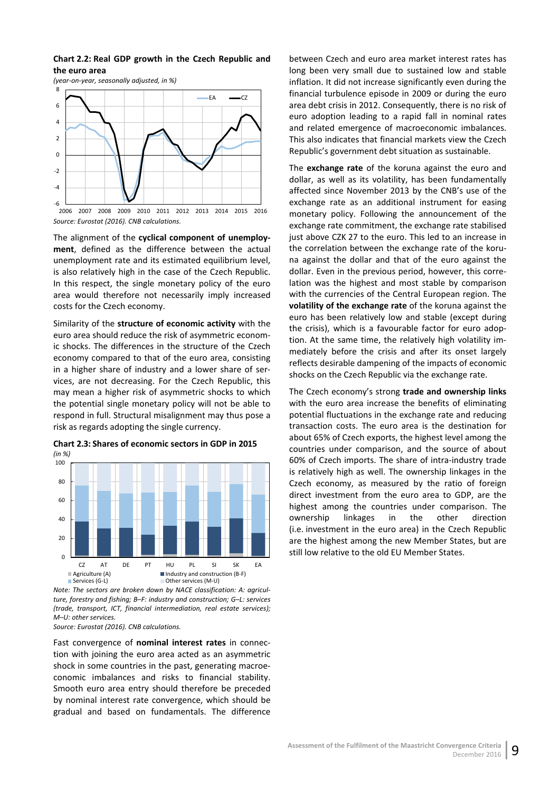#### <span id="page-14-0"></span>**Chart 2.2: Real GDP growth in the Czech Republic and the euro area**

—ا 6-<br>2006 -4 -2 0 2 4 6 8 EA <u>C</u>Z

*(year-on-year, seasonally adjusted, in %)*

*Source: Eurostat (2016). CNB calculations.* 2006 2007 2008 2009 2010 2011 2012 2013 2014 2015 2016

The alignment of the **cyclical component of unemployment**, defined as the difference between the actual unemployment rate and its estimated equilibrium level, is also relatively high in the case of the Czech Republic. In this respect, the single monetary policy of the euro area would therefore not necessarily imply increased costs for the Czech economy.

Similarity of the **structure of economic activity** with the euro area should reduce the risk of asymmetric economic shocks. The differences in the structure of the Czech economy compared to that of the euro area, consisting in a higher share of industry and a lower share of services, are not decreasing. For the Czech Republic, this may mean a higher risk of asymmetric shocks to which the potential single monetary policy will not be able to respond in full. Structural misalignment may thus pose a risk as regards adopting the single currency.

<span id="page-14-1"></span>



*Note: The sectors are broken down by NACE classification: A: agriculture, forestry and fishing; B–F: industry and construction; G–L: services (trade, transport, ICT, financial intermediation, real estate services); M–U: other services.*

*Source: Eurostat (2016). CNB calculations.*

Fast convergence of **nominal interest rates** in connection with joining the euro area acted as an asymmetric shock in some countries in the past, generating macroeconomic imbalances and risks to financial stability. Smooth euro area entry should therefore be preceded by nominal interest rate convergence, which should be gradual and based on fundamentals. The difference

between Czech and euro area market interest rates has long been very small due to sustained low and stable inflation. It did not increase significantly even during the financial turbulence episode in 2009 or during the euro area debt crisis in 2012. Consequently, there is no risk of euro adoption leading to a rapid fall in nominal rates and related emergence of macroeconomic imbalances. This also indicates that financial markets view the Czech Republic's government debt situation as sustainable.

The **exchange rate** of the koruna against the euro and dollar, as well as its volatility, has been fundamentally affected since November 2013 by the CNB's use of the exchange rate as an additional instrument for easing monetary policy. Following the announcement of the exchange rate commitment, the exchange rate stabilised just above CZK 27 to the euro. This led to an increase in the correlation between the exchange rate of the koruna against the dollar and that of the euro against the dollar. Even in the previous period, however, this correlation was the highest and most stable by comparison with the currencies of the Central European region. The **volatility of the exchange rate** of the koruna against the euro has been relatively low and stable (except during the crisis), which is a favourable factor for euro adoption. At the same time, the relatively high volatility immediately before the crisis and after its onset largely reflects desirable dampening of the impacts of economic shocks on the Czech Republic via the exchange rate.

The Czech economy's strong **trade and ownership links** with the euro area increase the benefits of eliminating potential fluctuations in the exchange rate and reducing transaction costs. The euro area is the destination for about 65% of Czech exports, the highest level among the countries under comparison, and the source of about 60% of Czech imports. The share of intra-industry trade is relatively high as well. The ownership linkages in the Czech economy, as measured by the ratio of foreign direct investment from the euro area to GDP, are the highest among the countries under comparison. The ownership linkages in the other direction (i.e. investment in the euro area) in the Czech Republic are the highest among the new Member States, but are still low relative to the old EU Member States.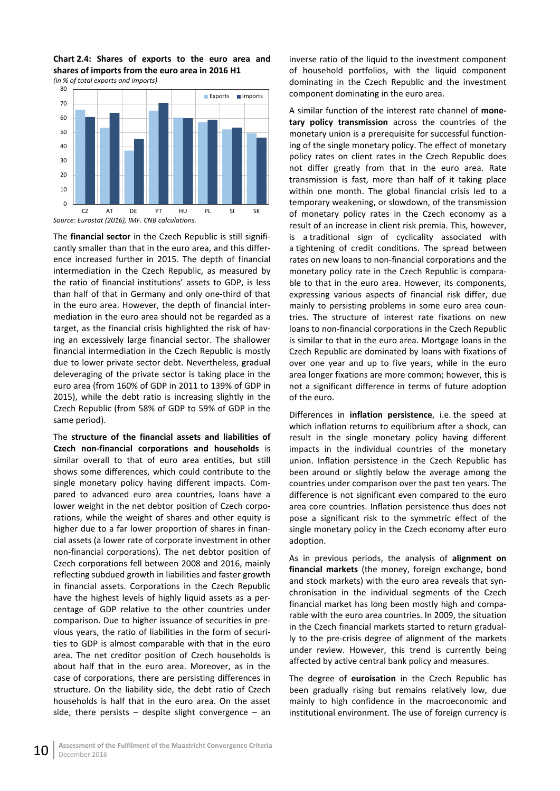<span id="page-15-0"></span>**Chart 2.4: Shares of exports to the euro area and shares of imports from the euro area in 2016 H1** *(in % of total exports and imports)*



The **financial sector** in the Czech Republic is still significantly smaller than that in the euro area, and this difference increased further in 2015. The depth of financial intermediation in the Czech Republic, as measured by the ratio of financial institutions' assets to GDP, is less than half of that in Germany and only one-third of that in the euro area. However, the depth of financial intermediation in the euro area should not be regarded as a target, as the financial crisis highlighted the risk of having an excessively large financial sector. The shallower financial intermediation in the Czech Republic is mostly due to lower private sector debt. Nevertheless, gradual deleveraging of the private sector is taking place in the euro area (from 160% of GDP in 2011 to 139% of GDP in 2015), while the debt ratio is increasing slightly in the Czech Republic (from 58% of GDP to 59% of GDP in the same period).

The **structure of the financial assets and liabilities of Czech non-financial corporations and households** is similar overall to that of euro area entities, but still shows some differences, which could contribute to the single monetary policy having different impacts. Compared to advanced euro area countries, loans have a lower weight in the net debtor position of Czech corporations, while the weight of shares and other equity is higher due to a far lower proportion of shares in financial assets (a lower rate of corporate investment in other non-financial corporations). The net debtor position of Czech corporations fell between 2008 and 2016, mainly reflecting subdued growth in liabilities and faster growth in financial assets. Corporations in the Czech Republic have the highest levels of highly liquid assets as a percentage of GDP relative to the other countries under comparison. Due to higher issuance of securities in previous years, the ratio of liabilities in the form of securities to GDP is almost comparable with that in the euro area. The net creditor position of Czech households is about half that in the euro area. Moreover, as in the case of corporations, there are persisting differences in structure. On the liability side, the debt ratio of Czech households is half that in the euro area. On the asset side, there persists  $-$  despite slight convergence  $-$  an

inverse ratio of the liquid to the investment component of household portfolios, with the liquid component dominating in the Czech Republic and the investment component dominating in the euro area.

A similar function of the interest rate channel of **monetary policy transmission** across the countries of the monetary union is a prerequisite for successful functioning of the single monetary policy. The effect of monetary policy rates on client rates in the Czech Republic does not differ greatly from that in the euro area. Rate transmission is fast, more than half of it taking place within one month. The global financial crisis led to a temporary weakening, or slowdown, of the transmission of monetary policy rates in the Czech economy as a result of an increase in client risk premia. This, however, is a traditional sign of cyclicality associated with a tightening of credit conditions. The spread between rates on new loans to non-financial corporations and the monetary policy rate in the Czech Republic is comparable to that in the euro area. However, its components, expressing various aspects of financial risk differ, due mainly to persisting problems in some euro area countries. The structure of interest rate fixations on new loans to non-financial corporations in the Czech Republic is similar to that in the euro area. Mortgage loans in the Czech Republic are dominated by loans with fixations of over one year and up to five years, while in the euro area longer fixations are more common; however, this is not a significant difference in terms of future adoption of the euro.

Differences in **inflation persistence**, i.e. the speed at which inflation returns to equilibrium after a shock, can result in the single monetary policy having different impacts in the individual countries of the monetary union. Inflation persistence in the Czech Republic has been around or slightly below the average among the countries under comparison over the past ten years. The difference is not significant even compared to the euro area core countries. Inflation persistence thus does not pose a significant risk to the symmetric effect of the single monetary policy in the Czech economy after euro adoption.

As in previous periods, the analysis of **alignment on financial markets** (the money, foreign exchange, bond and stock markets) with the euro area reveals that synchronisation in the individual segments of the Czech financial market has long been mostly high and comparable with the euro area countries. In 2009, the situation in the Czech financial markets started to return gradually to the pre-crisis degree of alignment of the markets under review. However, this trend is currently being affected by active central bank policy and measures.

The degree of **euroisation** in the Czech Republic has been gradually rising but remains relatively low, due mainly to high confidence in the macroeconomic and institutional environment. The use of foreign currency is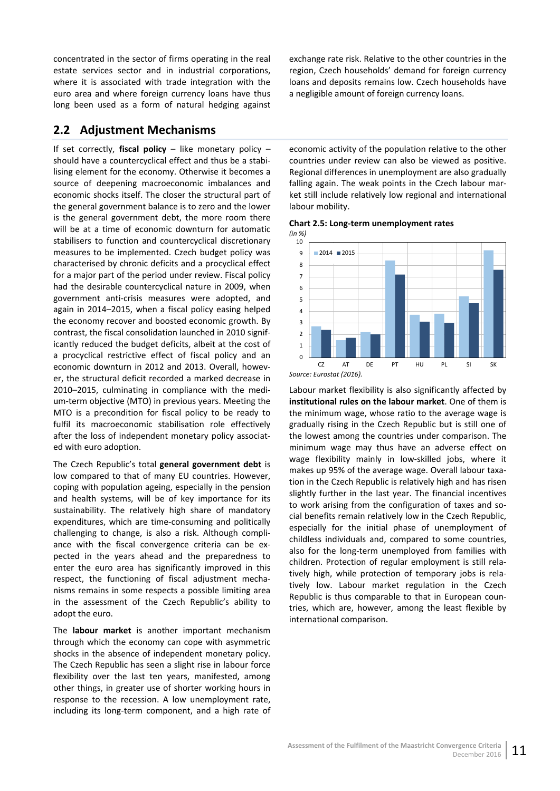concentrated in the sector of firms operating in the real estate services sector and in industrial corporations, where it is associated with trade integration with the euro area and where foreign currency loans have thus long been used as a form of natural hedging against

## <span id="page-16-0"></span>**2.2 Adjustment Mechanisms**

If set correctly, **fiscal policy** – like monetary policy – should have a countercyclical effect and thus be a stabilising element for the economy. Otherwise it becomes a source of deepening macroeconomic imbalances and economic shocks itself. The closer the structural part of the general government balance is to zero and the lower is the general government debt, the more room there will be at a time of economic downturn for automatic stabilisers to function and countercyclical discretionary measures to be implemented. Czech budget policy was characterised by chronic deficits and a procyclical effect for a major part of the period under review. Fiscal policy had the desirable countercyclical nature in 2009, when government anti-crisis measures were adopted, and again in 2014–2015, when a fiscal policy easing helped the economy recover and boosted economic growth. By contrast, the fiscal consolidation launched in 2010 significantly reduced the budget deficits, albeit at the cost of a procyclical restrictive effect of fiscal policy and an economic downturn in 2012 and 2013. Overall, however, the structural deficit recorded a marked decrease in 2010–2015, culminating in compliance with the medium-term objective (MTO) in previous years. Meeting the MTO is a precondition for fiscal policy to be ready to fulfil its macroeconomic stabilisation role effectively after the loss of independent monetary policy associated with euro adoption.

The Czech Republic's total **general government debt** is low compared to that of many EU countries. However, coping with population ageing, especially in the pension and health systems, will be of key importance for its sustainability. The relatively high share of mandatory expenditures, which are time-consuming and politically challenging to change, is also a risk. Although compliance with the fiscal convergence criteria can be expected in the years ahead and the preparedness to enter the euro area has significantly improved in this respect, the functioning of fiscal adjustment mechanisms remains in some respects a possible limiting area in the assessment of the Czech Republic's ability to adopt the euro.

The **labour market** is another important mechanism through which the economy can cope with asymmetric shocks in the absence of independent monetary policy. The Czech Republic has seen a slight rise in labour force flexibility over the last ten years, manifested, among other things, in greater use of shorter working hours in response to the recession. A low unemployment rate, including its long-term component, and a high rate of

exchange rate risk. Relative to the other countries in the region, Czech households' demand for foreign currency loans and deposits remains low. Czech households have a negligible amount of foreign currency loans.

economic activity of the population relative to the other countries under review can also be viewed as positive. Regional differences in unemployment are also gradually falling again. The weak points in the Czech labour market still include relatively low regional and international labour mobility.

<span id="page-16-1"></span>**Chart 2.5: Long-term unemployment rates** *(in %)*



Labour market flexibility is also significantly affected by **institutional rules on the labour market**. One of them is the minimum wage, whose ratio to the average wage is gradually rising in the Czech Republic but is still one of the lowest among the countries under comparison. The minimum wage may thus have an adverse effect on wage flexibility mainly in low-skilled jobs, where it makes up 95% of the average wage. Overall labour taxation in the Czech Republic is relatively high and has risen slightly further in the last year. The financial incentives to work arising from the configuration of taxes and social benefits remain relatively low in the Czech Republic, especially for the initial phase of unemployment of childless individuals and, compared to some countries, also for the long-term unemployed from families with children. Protection of regular employment is still relatively high, while protection of temporary jobs is relatively low. Labour market regulation in the Czech Republic is thus comparable to that in European countries, which are, however, among the least flexible by international comparison.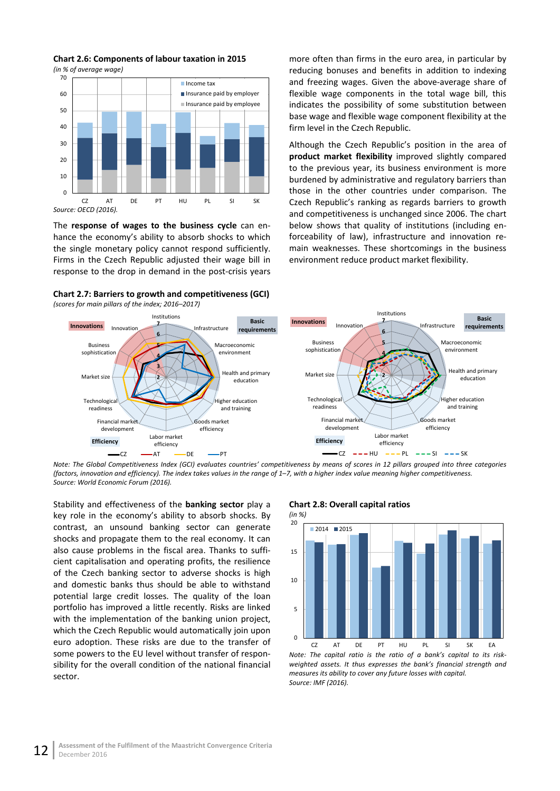

<span id="page-17-0"></span>**Chart 2.6: Components of labour taxation in 2015** *(in % of average wage)*

The **response of wages to the business cycle** can enhance the economy's ability to absorb shocks to which the single monetary policy cannot respond sufficiently. Firms in the Czech Republic adjusted their wage bill in response to the drop in demand in the post-crisis years

<span id="page-17-1"></span>

more often than firms in the euro area, in particular by reducing bonuses and benefits in addition to indexing and freezing wages. Given the above-average share of flexible wage components in the total wage bill, this indicates the possibility of some substitution between base wage and flexible wage component flexibility at the firm level in the Czech Republic.

Although the Czech Republic's position in the area of **product market flexibility** improved slightly compared to the previous year, its business environment is more burdened by administrative and regulatory barriers than those in the other countries under comparison. The Czech Republic's ranking as regards barriers to growth and competitiveness is unchanged since 2006. The chart below shows that quality of institutions (including enforceability of law), infrastructure and innovation remain weaknesses. These shortcomings in the business environment reduce product market flexibility.



*Note: The Global Competitiveness Index (GCI) evaluates countries' competitiveness by means of scores in 12 pillars grouped into three categories (factors, innovation and efficiency). The index takes values in the range of 1–7, with a higher index value meaning higher competitiveness. Source: World Economic Forum (2016).*

Stability and effectiveness of the **banking sector** play a key role in the economy's ability to absorb shocks. By contrast, an unsound banking sector can generate shocks and propagate them to the real economy. It can also cause problems in the fiscal area. Thanks to sufficient capitalisation and operating profits, the resilience of the Czech banking sector to adverse shocks is high and domestic banks thus should be able to withstand potential large credit losses. The quality of the loan portfolio has improved a little recently. Risks are linked with the implementation of the banking union project, which the Czech Republic would automatically join upon euro adoption. These risks are due to the transfer of some powers to the EU level without transfer of responsibility for the overall condition of the national financial sector.

#### <span id="page-17-2"></span>**Chart 2.8: Overall capital ratios**



*weighted assets. It thus expresses the bank's financial strength and measures its ability to cover any future losses with capital. Source: IMF (2016).*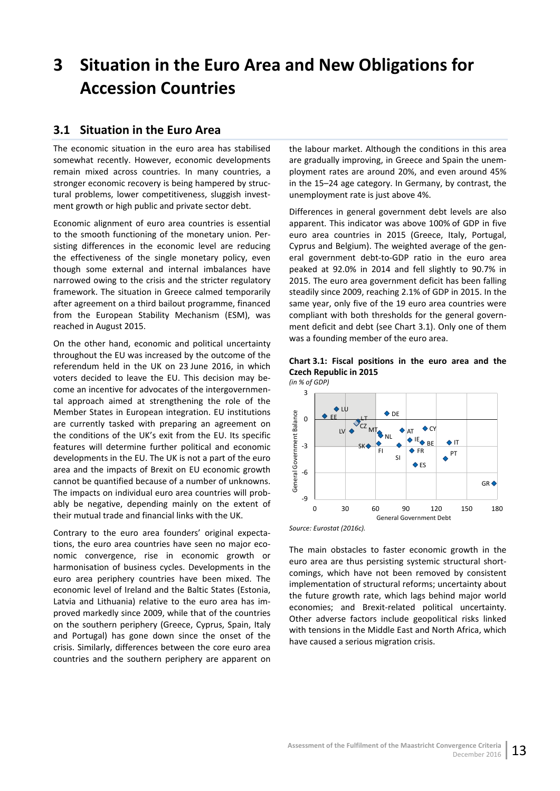# <span id="page-18-0"></span>**3 Situation in the Euro Area and New Obligations for Accession Countries**

## <span id="page-18-1"></span>**3.1 Situation in the Euro Area**

The economic situation in the euro area has stabilised somewhat recently. However, economic developments remain mixed across countries. In many countries, a stronger economic recovery is being hampered by structural problems, lower competitiveness, sluggish investment growth or high public and private sector debt.

Economic alignment of euro area countries is essential to the smooth functioning of the monetary union. Persisting differences in the economic level are reducing the effectiveness of the single monetary policy, even though some external and internal imbalances have narrowed owing to the crisis and the stricter regulatory framework. The situation in Greece calmed temporarily after agreement on a third bailout programme, financed from the European Stability Mechanism (ESM), was reached in August 2015.

On the other hand, economic and political uncertainty throughout the EU was increased by the outcome of the referendum held in the UK on 23 June 2016, in which voters decided to leave the EU. This decision may become an incentive for advocates of the intergovernmental approach aimed at strengthening the role of the Member States in European integration. EU institutions are currently tasked with preparing an agreement on the conditions of the UK's exit from the EU. Its specific features will determine further political and economic developments in the EU. The UK is not a part of the euro area and the impacts of Brexit on EU economic growth cannot be quantified because of a number of unknowns. The impacts on individual euro area countries will probably be negative, depending mainly on the extent of their mutual trade and financial links with the UK.

Contrary to the euro area founders' original expectations, the euro area countries have seen no major economic convergence, rise in economic growth or harmonisation of business cycles. Developments in the euro area periphery countries have been mixed. The economic level of Ireland and the Baltic States (Estonia, Latvia and Lithuania) relative to the euro area has improved markedly since 2009, while that of the countries on the southern periphery (Greece, Cyprus, Spain, Italy and Portugal) has gone down since the onset of the crisis. Similarly, differences between the core euro area countries and the southern periphery are apparent on

the labour market. Although the conditions in this area are gradually improving, in Greece and Spain the unemployment rates are around 20%, and even around 45% in the 15–24 age category. In Germany, by contrast, the unemployment rate is just above 4%.

Differences in general government debt levels are also apparent. This indicator was above 100% of GDP in five euro area countries in 2015 (Greece, Italy, Portugal, Cyprus and Belgium). The weighted average of the general government debt-to-GDP ratio in the euro area peaked at 92.0% in 2014 and fell slightly to 90.7% in 2015. The euro area government deficit has been falling steadily since 2009, reaching 2.1% of GDP in 2015. In the same year, only five of the 19 euro area countries were compliant with both thresholds for the general government deficit and debt (see Chart 3.1). Only one of them was a founding member of the euro area.

<span id="page-18-2"></span>



*Source: Eurostat (2016c).*

The main obstacles to faster economic growth in the euro area are thus persisting systemic structural shortcomings, which have not been removed by consistent implementation of structural reforms; uncertainty about the future growth rate, which lags behind major world economies; and Brexit-related political uncertainty. Other adverse factors include geopolitical risks linked with tensions in the Middle East and North Africa, which have caused a serious migration crisis.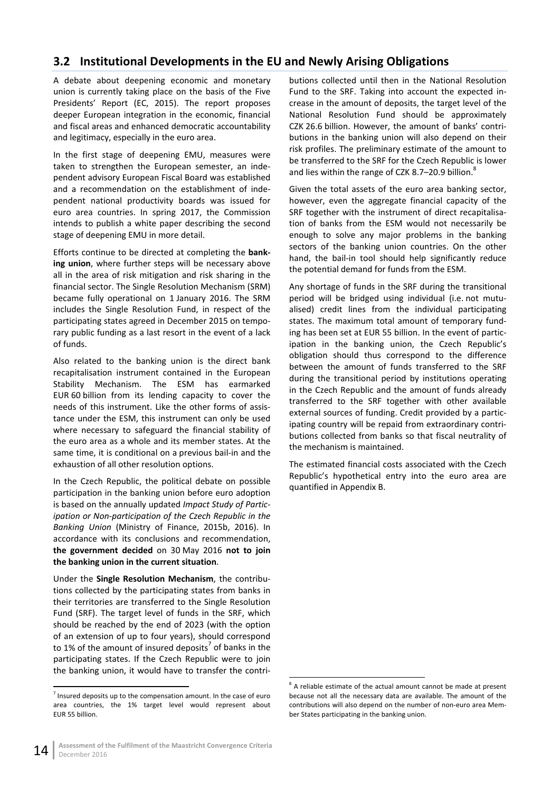# <span id="page-19-0"></span>**3.2 Institutional Developments in the EU and Newly Arising Obligations**

A debate about deepening economic and monetary union is currently taking place on the basis of the Five Presidents' Report (EC, 2015). The report proposes deeper European integration in the economic, financial and fiscal areas and enhanced democratic accountability and legitimacy, especially in the euro area.

In the first stage of deepening EMU, measures were taken to strengthen the European semester, an independent advisory European Fiscal Board was established and a recommendation on the establishment of independent national productivity boards was issued for euro area countries. In spring 2017, the Commission intends to publish a white paper describing the second stage of deepening EMU in more detail.

Efforts continue to be directed at completing the **banking union**, where further steps will be necessary above all in the area of risk mitigation and risk sharing in the financial sector. The Single Resolution Mechanism (SRM) became fully operational on 1 January 2016. The SRM includes the Single Resolution Fund, in respect of the participating states agreed in December 2015 on temporary public funding as a last resort in the event of a lack of funds.

Also related to the banking union is the direct bank recapitalisation instrument contained in the European Stability Mechanism. The ESM has earmarked EUR 60 billion from its lending capacity to cover the needs of this instrument. Like the other forms of assistance under the ESM, this instrument can only be used where necessary to safeguard the financial stability of the euro area as a whole and its member states. At the same time, it is conditional on a previous bail-in and the exhaustion of all other resolution options.

In the Czech Republic, the political debate on possible participation in the banking union before euro adoption is based on the annually updated *Impact Study of Participation or Non-participation of the Czech Republic in the Banking Union* (Ministry of Finance, 2015b, 2016). In accordance with its conclusions and recommendation, **the government decided** on 30 May 2016 **not to join the banking union in the current situation**.

Under the **Single Resolution Mechanism**, the contributions collected by the participating states from banks in their territories are transferred to the Single Resolution Fund (SRF). The target level of funds in the SRF, which should be reached by the end of 2023 (with the option of an extension of up to four years), should correspond to 1% of the amount of insured deposits<sup>7</sup> of banks in the participating states. If the Czech Republic were to join the banking union, it would have to transfer the contributions collected until then in the National Resolution Fund to the SRF. Taking into account the expected increase in the amount of deposits, the target level of the National Resolution Fund should be approximately CZK 26.6 billion. However, the amount of banks' contributions in the banking union will also depend on their risk profiles. The preliminary estimate of the amount to be transferred to the SRF for the Czech Republic is lower and lies within the range of CZK 8.7-20.9 billion.<sup>8</sup>

Given the total assets of the euro area banking sector, however, even the aggregate financial capacity of the SRF together with the instrument of direct recapitalisation of banks from the ESM would not necessarily be enough to solve any major problems in the banking sectors of the banking union countries. On the other hand, the bail-in tool should help significantly reduce the potential demand for funds from the ESM.

Any shortage of funds in the SRF during the transitional period will be bridged using individual (i.e. not mutualised) credit lines from the individual participating states. The maximum total amount of temporary funding has been set at EUR 55 billion. In the event of participation in the banking union, the Czech Republic's obligation should thus correspond to the difference between the amount of funds transferred to the SRF during the transitional period by institutions operating in the Czech Republic and the amount of funds already transferred to the SRF together with other available external sources of funding. Credit provided by a participating country will be repaid from extraordinary contributions collected from banks so that fiscal neutrality of the mechanism is maintained.

The estimated financial costs associated with the Czech Republic's hypothetical entry into the euro area are quantified in Appendix B.

 $<sup>7</sup>$  Insured deposits up to the compensation amount. In the case of euro</sup> area countries, the 1% target level would represent about EUR 55 billion.

<sup>&</sup>lt;sup>8</sup> A reliable estimate of the actual amount cannot be made at present because not all the necessary data are available. The amount of the contributions will also depend on the number of non-euro area Member States participating in the banking union.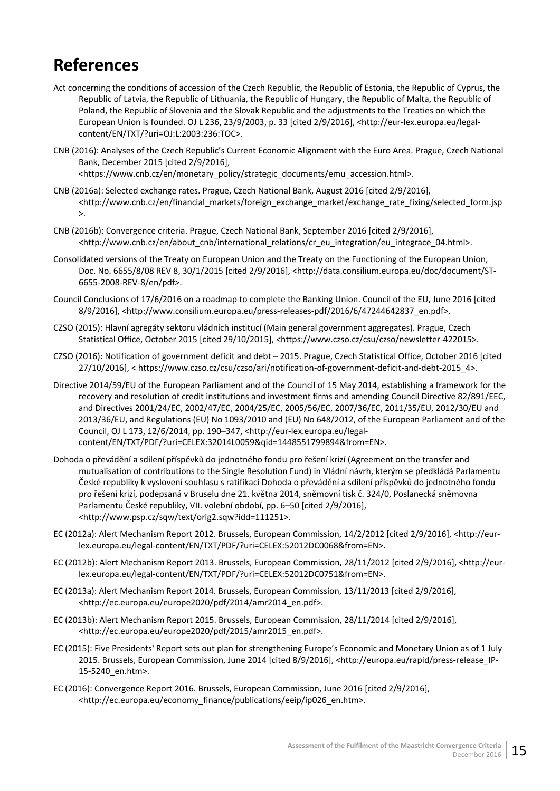# <span id="page-20-0"></span>**References**

- Act concerning the conditions of accession of the Czech Republic, the Republic of Estonia, the Republic of Cyprus, the Republic of Latvia, the Republic of Lithuania, the Republic of Hungary, the Republic of Malta, the Republic of Poland, the Republic of Slovenia and the Slovak Republic and the adjustments to the Treaties on which the European Union is founded. OJ L 236, 23/9/2003, p. 33 [cited 2/9/2016], <http://eur-lex.europa.eu/legalcontent/EN/TXT/?uri=OJ:L:2003:236:TOC>.
- CNB (2016): Analyses of the Czech Republic's Current Economic Alignment with the Euro Area. Prague, Czech National Bank, December 2015 [cited 2/9/2016],

<https://www.cnb.cz/en/monetary\_policy/strategic\_documents/emu\_accession.html>.

- CNB (2016a): Selected exchange rates. Prague, Czech National Bank, August 2016 [cited 2/9/2016], <http://www.cnb.cz/en/financial\_markets/foreign\_exchange\_market/exchange\_rate\_fixing/selected\_form.jsp  $\mathcal{L}$
- CNB (2016b): Convergence criteria. Prague, Czech National Bank, September 2016 [cited 2/9/2016], <http://www.cnb.cz/en/about\_cnb/international\_relations/cr\_eu\_integration/eu\_integrace\_04.html>.
- Consolidated versions of the Treaty on European Union and the Treaty on the Functioning of the European Union, Doc. No. 6655/8/08 REV 8, 30/1/2015 [cited 2/9/2016], <http://data.consilium.europa.eu/doc/document/ST-6655-2008-REV-8/en/pdf>.
- Council Conclusions of 17/6/2016 on a roadmap to complete the Banking Union. Council of the EU, June 2016 [cited 8/9/2016], <http://www.consilium.europa.eu/press-releases-pdf/2016/6/47244642837\_en.pdf>.
- CZSO (2015): Hlavní agregáty sektoru vládních institucí (Main general government aggregates). Prague, Czech Statistical Office, October 2015 [cited 29/10/2015], <https://www.czso.cz/csu/czso/newsletter-422015>.
- CZSO (2016): Notification of government deficit and debt 2015. Prague, Czech Statistical Office, October 2016 [cited 27/10/2016], < https://www.czso.cz/csu/czso/ari/notification-of-government-deficit-and-debt-2015\_4>.
- Directive 2014/59/EU of the European Parliament and of the Council of 15 May 2014, establishing a framework for the recovery and resolution of credit institutions and investment firms and amending Council Directive 82/891/EEC, and Directives 2001/24/EC, 2002/47/EC, 2004/25/EC, 2005/56/EC, 2007/36/EC, 2011/35/EU, 2012/30/EU and 2013/36/EU, and Regulations (EU) No 1093/2010 and (EU) No 648/2012, of the European Parliament and of the Council, OJ L 173, 12/6/2014, pp. 190–347, <http://eur-lex.europa.eu/legalcontent/EN/TXT/PDF/?uri=CELEX:32014L0059&qid=1448551799894&from=EN>.
- Dohoda o převádění a sdílení příspěvků do jednotného fondu pro řešení krizí (Agreement on the transfer and mutualisation of contributions to the Single Resolution Fund) in Vládní návrh, kterým se předkládá Parlamentu České republiky k vyslovení souhlasu s ratifikací Dohoda o převádění a sdílení příspěvků do jednotného fondu pro řešení krizí, podepsaná v Bruselu dne 21. května 2014, sněmovní tisk č. 324/0, Poslanecká sněmovna Parlamentu České republiky, VII. volební období, pp. 6–50 [cited 2/9/2016], <http://www.psp.cz/sqw/text/orig2.sqw?idd=111251>.
- EC (2012a): Alert Mechanism Report 2012. Brussels, European Commission, 14/2/2012 [cited 2/9/2016], <http://eurlex.europa.eu/legal-content/EN/TXT/PDF/?uri=CELEX:52012DC0068&from=EN>.
- EC (2012b): Alert Mechanism Report 2013. Brussels, European Commission, 28/11/2012 [cited 2/9/2016], <http://eurlex.europa.eu/legal-content/EN/TXT/PDF/?uri=CELEX:52012DC0751&from=EN>.
- EC (2013a): Alert Mechanism Report 2014. Brussels, European Commission, 13/11/2013 [cited 2/9/2016], <http://ec.europa.eu/europe2020/pdf/2014/amr2014\_en.pdf>.
- EC (2013b): Alert Mechanism Report 2015. Brussels, European Commission, 28/11/2014 [cited 2/9/2016], <http://ec.europa.eu/europe2020/pdf/2015/amr2015\_en.pdf>.
- EC (2015): Five Presidents' Report sets out plan for strengthening Europe's Economic and Monetary Union as of 1 July 2015. Brussels, European Commission, June 2014 [cited 8/9/2016], <http://europa.eu/rapid/press-release\_IP-15-5240\_en.htm>.
- EC (2016): Convergence Report 2016. Brussels, European Commission, June 2016 [cited 2/9/2016], <http://ec.europa.eu/economy\_finance/publications/eeip/ip026\_en.htm>.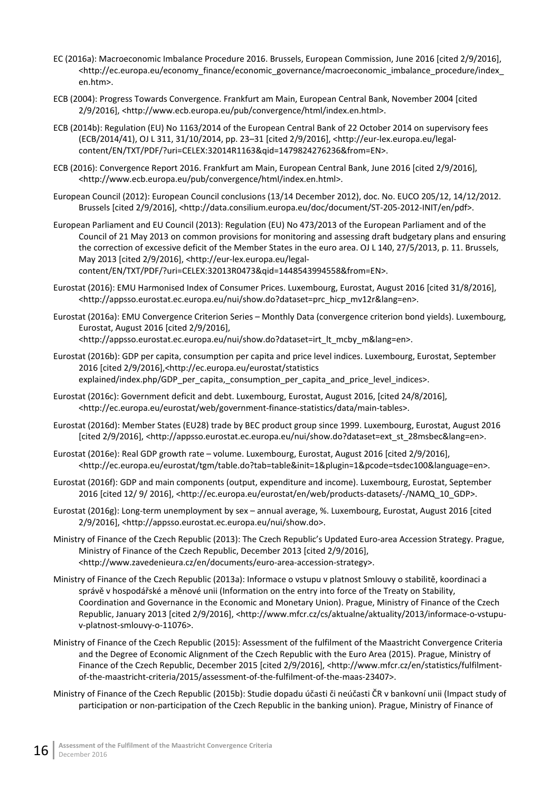- EC (2016a): Macroeconomic Imbalance Procedure 2016. Brussels, European Commission, June 2016 [cited 2/9/2016], <http://ec.europa.eu/economy\_finance/economic\_governance/macroeconomic\_imbalance\_procedure/index\_ en.htm>.
- ECB (2004): Progress Towards Convergence. Frankfurt am Main, European Central Bank, November 2004 [cited 2/9/2016], <http://www.ecb.europa.eu/pub/convergence/html/index.en.html>.
- ECB (2014b): Regulation (EU) No 1163/2014 of the European Central Bank of 22 October 2014 on supervisory fees (ECB/2014/41), OJ L 311, 31/10/2014, pp. 23–31 [cited 2/9/2016], <http://eur-lex.europa.eu/legalcontent/EN/TXT/PDF/?uri=CELEX:32014R1163&qid=1479824276236&from=EN>.
- ECB (2016): Convergence Report 2016. Frankfurt am Main, European Central Bank, June 2016 [cited 2/9/2016], <http://www.ecb.europa.eu/pub/convergence/html/index.en.html>.
- European Council (2012): European Council conclusions (13/14 December 2012), doc. No. EUCO 205/12, 14/12/2012. Brussels [cited 2/9/2016], <http://data.consilium.europa.eu/doc/document/ST-205-2012-INIT/en/pdf>.
- European Parliament and EU Council (2013): Regulation (EU) No 473/2013 of the European Parliament and of the Council of 21 May 2013 on common provisions for monitoring and assessing draft budgetary plans and ensuring the correction of excessive deficit of the Member States in the euro area. OJ L 140, 27/5/2013, p. 11. Brussels, May 2013 [cited 2/9/2016], <http://eur-lex.europa.eu/legalcontent/EN/TXT/PDF/?uri=CELEX:32013R0473&qid=1448543994558&from=EN>.
- Eurostat (2016): EMU Harmonised Index of Consumer Prices. Luxembourg, Eurostat, August 2016 [cited 31/8/2016], <http://appsso.eurostat.ec.europa.eu/nui/show.do?dataset=prc\_hicp\_mv12r&lang=en>.
- Eurostat (2016a): EMU Convergence Criterion Series Monthly Data (convergence criterion bond yields). Luxembourg, Eurostat, August 2016 [cited 2/9/2016], <http://appsso.eurostat.ec.europa.eu/nui/show.do?dataset=irt\_lt\_mcby\_m&lang=en>.
- Eurostat (2016b): GDP per capita, consumption per capita and price level indices. Luxembourg, Eurostat, September 2016 [cited 2/9/2016],<http://ec.europa.eu/eurostat/statistics explained/index.php/GDP\_per\_capita,\_consumption\_per\_capita\_and\_price\_level\_indices>.
- Eurostat (2016c): Government deficit and debt. Luxembourg, Eurostat, August 2016, [cited 24/8/2016], [<http://ec.europa.eu/eurostat/web/government-finance-statistics/data/main-tables](http://ec.europa.eu/eurostat/web/government-finance-statistics/data/main-tables)>.
- Eurostat (2016d): Member States (EU28) trade by BEC product group since 1999. Luxembourg, Eurostat, August 2016 [cited 2/9/2016], <http://appsso.eurostat.ec.europa.eu/nui/show.do?dataset=ext\_st\_28msbec&lang=en>.
- Eurostat (2016e): Real GDP growth rate volume. Luxembourg, Eurostat, August 2016 [cited 2/9/2016], <http://ec.europa.eu/eurostat/tgm/table.do?tab=table&init=1&plugin=1&pcode=tsdec100&language=en>.
- Eurostat (2016f): GDP and main components (output, expenditure and income). Luxembourg, Eurostat, September 2016 [cited 12/ 9/ 2016], <http://ec.europa.eu/eurostat/en/web/products-datasets/-/NAMQ\_10\_GDP>.
- Eurostat (2016g): Long-term unemployment by sex annual average, %. Luxembourg, Eurostat, August 2016 [cited 2/9/2016], <http://appsso.eurostat.ec.europa.eu/nui/show.do>.
- Ministry of Finance of the Czech Republic (2013): The Czech Republic's Updated Euro-area Accession Strategy. Prague, Ministry of Finance of the Czech Republic, December 2013 [cited 2/9/2016], <http://www.zavedenieura.cz/en/documents/euro-area-accession-strategy>.
- Ministry of Finance of the Czech Republic (2013a): Informace o vstupu v platnost Smlouvy o stabilitě, koordinaci a správě v hospodářské a měnové unii (Information on the entry into force of the Treaty on Stability, Coordination and Governance in the Economic and Monetary Union). Prague, Ministry of Finance of the Czech Republic, January 2013 [cited 2/9/2016], <http://www.mfcr.cz/cs/aktualne/aktuality/2013/informace-o-vstupuv-platnost-smlouvy-o-11076>.
- Ministry of Finance of the Czech Republic (2015): Assessment of the fulfilment of the Maastricht Convergence Criteria and the Degree of Economic Alignment of the Czech Republic with the Euro Area (2015). Prague, Ministry of Finance of the Czech Republic, December 2015 [cited 2/9/2016], <http://www.mfcr.cz/en/statistics/fulfilmentof-the-maastricht-criteria/2015/assessment-of-the-fulfilment-of-the-maas-23407>.
- Ministry of Finance of the Czech Republic (2015b): Studie dopadu účasti či neúčasti ČR v bankovní unii (Impact study of participation or non-participation of the Czech Republic in the banking union). Prague, Ministry of Finance of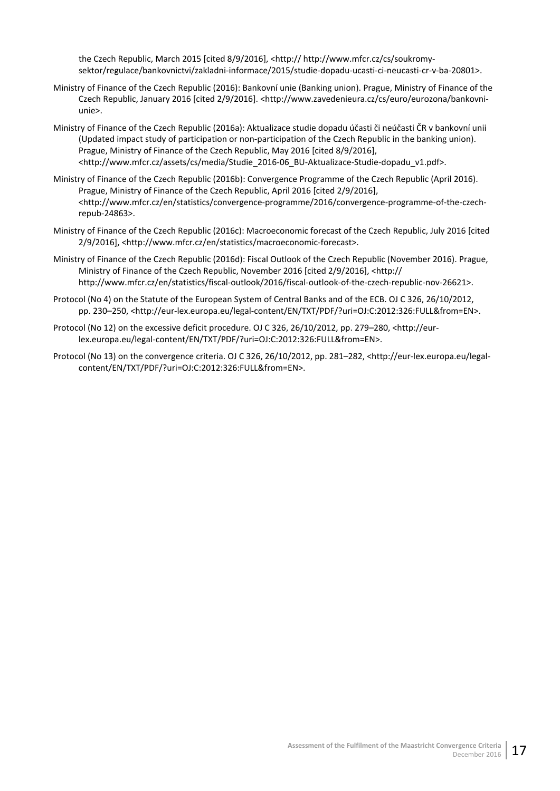the Czech Republic, March 2015 [cited 8/9/2016], <http:// http://www.mfcr.cz/cs/soukromysektor/regulace/bankovnictvi/zakladni-informace/2015/studie-dopadu-ucasti-ci-neucasti-cr-v-ba-20801>.

- Ministry of Finance of the Czech Republic (2016): Bankovní unie (Banking union). Prague, Ministry of Finance of the Czech Republic, January 2016 [cited 2/9/2016]. <http://www.zavedenieura.cz/cs/euro/eurozona/bankovniunie>.
- Ministry of Finance of the Czech Republic (2016a): Aktualizace studie dopadu účasti či neúčasti ČR v bankovní unii (Updated impact study of participation or non-participation of the Czech Republic in the banking union). Prague, Ministry of Finance of the Czech Republic, May 2016 [cited 8/9/2016], <http://www.mfcr.cz/assets/cs/media/Studie\_2016-06\_BU-Aktualizace-Studie-dopadu\_v1.pdf>.
- Ministry of Finance of the Czech Republic (2016b): Convergence Programme of the Czech Republic (April 2016). Prague, Ministry of Finance of the Czech Republic, April 2016 [cited 2/9/2016], <http://www.mfcr.cz/en/statistics/convergence-programme/2016/convergence-programme-of-the-czechrepub-24863>.
- Ministry of Finance of the Czech Republic (2016c): Macroeconomic forecast of the Czech Republic, July 2016 [cited 2/9/2016], <http://www.mfcr.cz/en/statistics/macroeconomic-forecast>.
- Ministry of Finance of the Czech Republic (2016d): Fiscal Outlook of the Czech Republic (November 2016). Prague, Ministry of Finance of the Czech Republic, November 2016 [cited 2/9/2016], <http:// http://www.mfcr.cz/en/statistics/fiscal-outlook/2016/fiscal-outlook-of-the-czech-republic-nov-26621>.
- Protocol (No 4) on the Statute of the European System of Central Banks and of the ECB. OJ C 326, 26/10/2012, pp. 230–250, <http://eur-lex.europa.eu/legal-content/EN/TXT/PDF/?uri=OJ:C:2012:326:FULL&from=EN>.
- Protocol (No 12) on the excessive deficit procedure. OJ C 326, 26/10/2012, pp. 279–280, <http://eurlex.europa.eu/legal-content/EN/TXT/PDF/?uri=OJ:C:2012:326:FULL&from=EN>.
- Protocol (No 13) on the convergence criteria. OJ C 326, 26/10/2012, pp. 281–282, <http://eur-lex.europa.eu/legalcontent/EN/TXT/PDF/?uri=OJ:C:2012:326:FULL&from=EN>.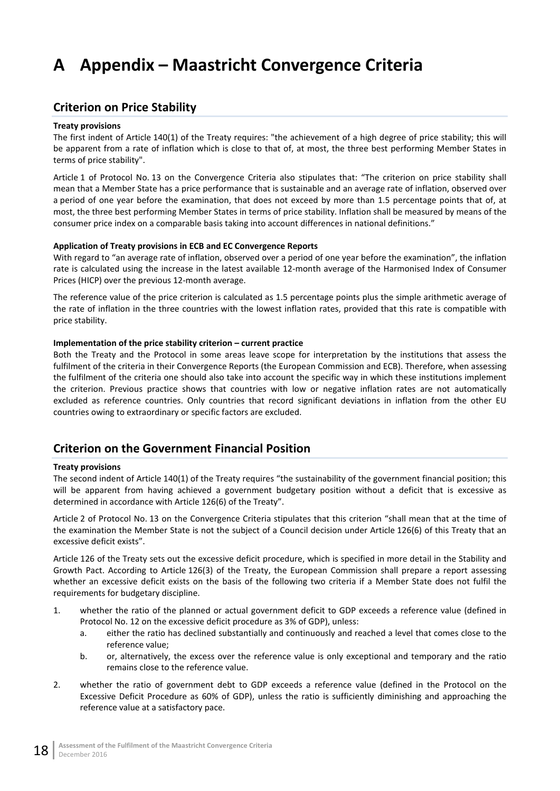# <span id="page-23-0"></span>**A Appendix – Maastricht Convergence Criteria**

## <span id="page-23-1"></span>**Criterion on Price Stability**

### **Treaty provisions**

The first indent of Article 140(1) of the Treaty requires: "the achievement of a high degree of price stability; this will be apparent from a rate of inflation which is close to that of, at most, the three best performing Member States in terms of price stability".

Article 1 of Protocol No. 13 on the Convergence Criteria also stipulates that: "The criterion on price stability shall mean that a Member State has a price performance that is sustainable and an average rate of inflation, observed over a period of one year before the examination, that does not exceed by more than 1.5 percentage points that of, at most, the three best performing Member States in terms of price stability. Inflation shall be measured by means of the consumer price index on a comparable basis taking into account differences in national definitions."

### **Application of Treaty provisions in ECB and EC Convergence Reports**

With regard to "an average rate of inflation, observed over a period of one year before the examination", the inflation rate is calculated using the increase in the latest available 12-month average of the Harmonised Index of Consumer Prices (HICP) over the previous 12-month average.

The reference value of the price criterion is calculated as 1.5 percentage points plus the simple arithmetic average of the rate of inflation in the three countries with the lowest inflation rates, provided that this rate is compatible with price stability.

### **Implementation of the price stability criterion – current practice**

Both the Treaty and the Protocol in some areas leave scope for interpretation by the institutions that assess the fulfilment of the criteria in their Convergence Reports (the European Commission and ECB). Therefore, when assessing the fulfilment of the criteria one should also take into account the specific way in which these institutions implement the criterion. Previous practice shows that countries with low or negative inflation rates are not automatically excluded as reference countries. Only countries that record significant deviations in inflation from the other EU countries owing to extraordinary or specific factors are excluded.

## <span id="page-23-2"></span>**Criterion on the Government Financial Position**

### **Treaty provisions**

The second indent of Article 140(1) of the Treaty requires "the sustainability of the government financial position; this will be apparent from having achieved a government budgetary position without a deficit that is excessive as determined in accordance with Article 126(6) of the Treaty".

Article 2 of Protocol No. 13 on the Convergence Criteria stipulates that this criterion "shall mean that at the time of the examination the Member State is not the subject of a Council decision under Article 126(6) of this Treaty that an excessive deficit exists".

Article 126 of the Treaty sets out the excessive deficit procedure, which is specified in more detail in the Stability and Growth Pact. According to Article 126(3) of the Treaty, the European Commission shall prepare a report assessing whether an excessive deficit exists on the basis of the following two criteria if a Member State does not fulfil the requirements for budgetary discipline.

- 1. whether the ratio of the planned or actual government deficit to GDP exceeds a reference value (defined in Protocol No. 12 on the excessive deficit procedure as 3% of GDP), unless:
	- a. either the ratio has declined substantially and continuously and reached a level that comes close to the reference value;
	- b. or, alternatively, the excess over the reference value is only exceptional and temporary and the ratio remains close to the reference value.
- 2. whether the ratio of government debt to GDP exceeds a reference value (defined in the Protocol on the Excessive Deficit Procedure as 60% of GDP), unless the ratio is sufficiently diminishing and approaching the reference value at a satisfactory pace.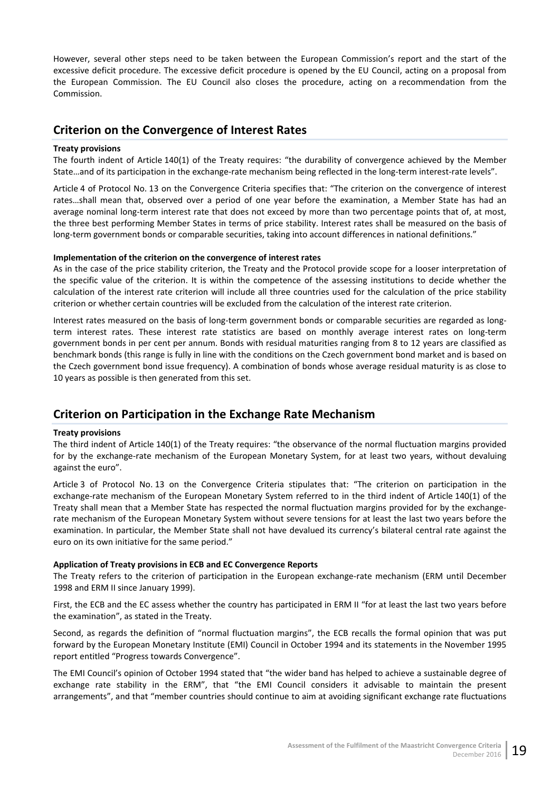However, several other steps need to be taken between the European Commission's report and the start of the excessive deficit procedure. The excessive deficit procedure is opened by the EU Council, acting on a proposal from the European Commission. The EU Council also closes the procedure, acting on a recommendation from the Commission.

## <span id="page-24-0"></span>**Criterion on the Convergence of Interest Rates**

## **Treaty provisions**

The fourth indent of Article 140(1) of the Treaty requires: "the durability of convergence achieved by the Member State…and of its participation in the exchange-rate mechanism being reflected in the long-term interest-rate levels".

Article 4 of Protocol No. 13 on the Convergence Criteria specifies that: "The criterion on the convergence of interest rates…shall mean that, observed over a period of one year before the examination, a Member State has had an average nominal long-term interest rate that does not exceed by more than two percentage points that of, at most, the three best performing Member States in terms of price stability. Interest rates shall be measured on the basis of long-term government bonds or comparable securities, taking into account differences in national definitions."

### **Implementation of the criterion on the convergence of interest rates**

As in the case of the price stability criterion, the Treaty and the Protocol provide scope for a looser interpretation of the specific value of the criterion. It is within the competence of the assessing institutions to decide whether the calculation of the interest rate criterion will include all three countries used for the calculation of the price stability criterion or whether certain countries will be excluded from the calculation of the interest rate criterion.

Interest rates measured on the basis of long-term government bonds or comparable securities are regarded as longterm interest rates. These interest rate statistics are based on monthly average interest rates on long-term government bonds in per cent per annum. Bonds with residual maturities ranging from 8 to 12 years are classified as benchmark bonds (this range is fully in line with the conditions on the Czech government bond market and is based on the Czech government bond issue frequency). A combination of bonds whose average residual maturity is as close to 10 years as possible is then generated from this set.

# <span id="page-24-1"></span>**Criterion on Participation in the Exchange Rate Mechanism**

### **Treaty provisions**

The third indent of Article 140(1) of the Treaty requires: "the observance of the normal fluctuation margins provided for by the exchange-rate mechanism of the European Monetary System, for at least two years, without devaluing against the euro".

Article 3 of Protocol No. 13 on the Convergence Criteria stipulates that: "The criterion on participation in the exchange-rate mechanism of the European Monetary System referred to in the third indent of Article 140(1) of the Treaty shall mean that a Member State has respected the normal fluctuation margins provided for by the exchangerate mechanism of the European Monetary System without severe tensions for at least the last two years before the examination. In particular, the Member State shall not have devalued its currency's bilateral central rate against the euro on its own initiative for the same period."

### **Application of Treaty provisions in ECB and EC Convergence Reports**

The Treaty refers to the criterion of participation in the European exchange-rate mechanism (ERM until December 1998 and ERM II since January 1999).

First, the ECB and the EC assess whether the country has participated in ERM II "for at least the last two years before the examination", as stated in the Treaty.

Second, as regards the definition of "normal fluctuation margins", the ECB recalls the formal opinion that was put forward by the European Monetary Institute (EMI) Council in October 1994 and its statements in the November 1995 report entitled "Progress towards Convergence".

The EMI Council's opinion of October 1994 stated that "the wider band has helped to achieve a sustainable degree of exchange rate stability in the ERM", that "the EMI Council considers it advisable to maintain the present arrangements", and that "member countries should continue to aim at avoiding significant exchange rate fluctuations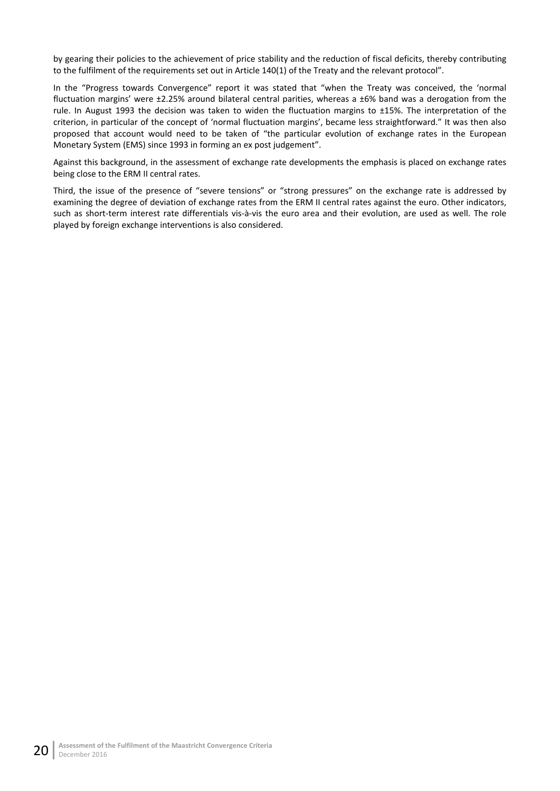by gearing their policies to the achievement of price stability and the reduction of fiscal deficits, thereby contributing to the fulfilment of the requirements set out in Article 140(1) of the Treaty and the relevant protocol".

In the "Progress towards Convergence" report it was stated that "when the Treaty was conceived, the 'normal fluctuation margins' were ±2.25% around bilateral central parities, whereas a ±6% band was a derogation from the rule. In August 1993 the decision was taken to widen the fluctuation margins to ±15%. The interpretation of the criterion, in particular of the concept of 'normal fluctuation margins', became less straightforward." It was then also proposed that account would need to be taken of "the particular evolution of exchange rates in the European Monetary System (EMS) since 1993 in forming an ex post judgement".

Against this background, in the assessment of exchange rate developments the emphasis is placed on exchange rates being close to the ERM II central rates.

Third, the issue of the presence of "severe tensions" or "strong pressures" on the exchange rate is addressed by examining the degree of deviation of exchange rates from the ERM II central rates against the euro. Other indicators, such as short-term interest rate differentials vis-à-vis the euro area and their evolution, are used as well. The role played by foreign exchange interventions is also considered.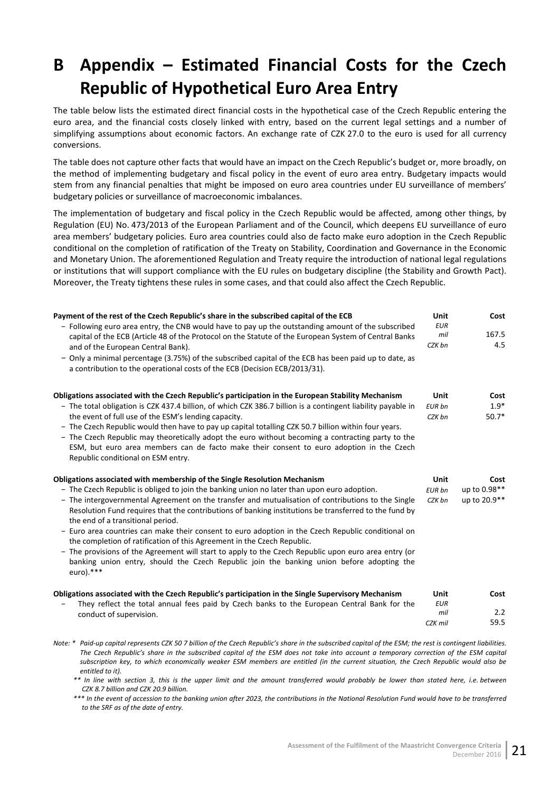# <span id="page-26-0"></span>**B Appendix – Estimated Financial Costs for the Czech Republic of Hypothetical Euro Area Entry**

The table below lists the estimated direct financial costs in the hypothetical case of the Czech Republic entering the euro area, and the financial costs closely linked with entry, based on the current legal settings and a number of simplifying assumptions about economic factors. An exchange rate of CZK 27.0 to the euro is used for all currency conversions.

The table does not capture other facts that would have an impact on the Czech Republic's budget or, more broadly, on the method of implementing budgetary and fiscal policy in the event of euro area entry. Budgetary impacts would stem from any financial penalties that might be imposed on euro area countries under EU surveillance of members' budgetary policies or surveillance of macroeconomic imbalances.

The implementation of budgetary and fiscal policy in the Czech Republic would be affected, among other things, by Regulation (EU) No. 473/2013 of the European Parliament and of the Council, which deepens EU surveillance of euro area members' budgetary policies. Euro area countries could also de facto make euro adoption in the Czech Republic conditional on the completion of ratification of the Treaty on Stability, Coordination and Governance in the Economic and Monetary Union. The aforementioned Regulation and Treaty require the introduction of national legal regulations or institutions that will support compliance with the EU rules on budgetary discipline (the Stability and Growth Pact). Moreover, the Treaty tightens these rules in some cases, and that could also affect the Czech Republic.

| Payment of the rest of the Czech Republic's share in the subscribed capital of the ECB                                                                                                                           | <b>Unit</b> | Cost         |
|------------------------------------------------------------------------------------------------------------------------------------------------------------------------------------------------------------------|-------------|--------------|
| - Following euro area entry, the CNB would have to pay up the outstanding amount of the subscribed                                                                                                               | <b>EUR</b>  |              |
| capital of the ECB (Article 48 of the Protocol on the Statute of the European System of Central Banks                                                                                                            | mil         | 167.5        |
| and of the European Central Bank).                                                                                                                                                                               | CZK bn      | 4.5          |
| - Only a minimal percentage (3.75%) of the subscribed capital of the ECB has been paid up to date, as<br>a contribution to the operational costs of the ECB (Decision ECB/2013/31).                              |             |              |
|                                                                                                                                                                                                                  |             |              |
| Obligations associated with the Czech Republic's participation in the European Stability Mechanism                                                                                                               | Unit        | Cost         |
| - The total obligation is CZK 437.4 billion, of which CZK 386.7 billion is a contingent liability payable in                                                                                                     | EUR bn      | $1.9*$       |
| the event of full use of the ESM's lending capacity.                                                                                                                                                             | CZK bn      | $50.7*$      |
| - The Czech Republic would then have to pay up capital totalling CZK 50.7 billion within four years.                                                                                                             |             |              |
| - The Czech Republic may theoretically adopt the euro without becoming a contracting party to the                                                                                                                |             |              |
| ESM, but euro area members can de facto make their consent to euro adoption in the Czech<br>Republic conditional on ESM entry.                                                                                   |             |              |
|                                                                                                                                                                                                                  |             |              |
| Obligations associated with membership of the Single Resolution Mechanism                                                                                                                                        | <b>Unit</b> | Cost         |
| - The Czech Republic is obliged to join the banking union no later than upon euro adoption.                                                                                                                      | EUR bn      | up to 0.98** |
| - The intergovernmental Agreement on the transfer and mutualisation of contributions to the Single                                                                                                               | CZK bn      | up to 20.9** |
| Resolution Fund requires that the contributions of banking institutions be transferred to the fund by                                                                                                            |             |              |
| the end of a transitional period.<br>- Euro area countries can make their consent to euro adoption in the Czech Republic conditional on                                                                          |             |              |
| the completion of ratification of this Agreement in the Czech Republic.                                                                                                                                          |             |              |
| - The provisions of the Agreement will start to apply to the Czech Republic upon euro area entry (or<br>banking union entry, should the Czech Republic join the banking union before adopting the<br>$euro).***$ |             |              |
|                                                                                                                                                                                                                  | <b>Unit</b> |              |
| Obligations associated with the Czech Republic's participation in the Single Supervisory Mechanism                                                                                                               | <b>EUR</b>  | Cost         |
| They reflect the total annual fees paid by Czech banks to the European Central Bank for the<br>conduct of supervision.                                                                                           | mil         | 2.2          |

*Note: \* Paid-up capital represents CZK 50 7 billion of the Czech Republic's share in the subscribed capital of the ESM; the rest is contingent liabilities. The Czech Republic's share in the subscribed capital of the ESM does not take into account a temporary correction of the ESM capital subscription key, to which economically weaker ESM members are entitled (in the current situation, the Czech Republic would also be entitled to it).*

*\*\* In line with section 3, this is the upper limit and the amount transferred would probably be lower than stated here, i.e. between CZK 8.7 billion and CZK 20.9 billion.*

*\*\*\* In the event of accession to the banking union after 2023, the contributions in the National Resolution Fund would have to be transferred to the SRF as of the date of entry.*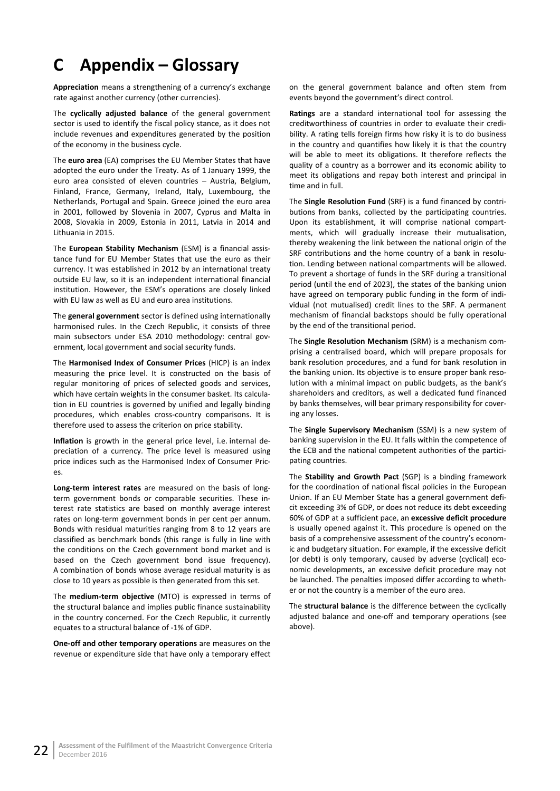# <span id="page-27-0"></span>**C Appendix – Glossary**

**Appreciation** means a strengthening of a currency's exchange rate against another currency (other currencies).

The **cyclically adjusted balance** of the general government sector is used to identify the fiscal policy stance, as it does not include revenues and expenditures generated by the position of the economy in the business cycle.

The **euro area** (EA) comprises the EU Member States that have adopted the euro under the Treaty. As of 1 January 1999, the euro area consisted of eleven countries – Austria, Belgium, Finland, France, Germany, Ireland, Italy, Luxembourg, the Netherlands, Portugal and Spain. Greece joined the euro area in 2001, followed by Slovenia in 2007, Cyprus and Malta in 2008, Slovakia in 2009, Estonia in 2011, Latvia in 2014 and Lithuania in 2015.

The **European Stability Mechanism** (ESM) is a financial assistance fund for EU Member States that use the euro as their currency. It was established in 2012 by an international treaty outside EU law, so it is an independent international financial institution. However, the ESM's operations are closely linked with EU law as well as EU and euro area institutions.

The **general government** sector is defined using internationally harmonised rules. In the Czech Republic, it consists of three main subsectors under ESA 2010 methodology: central government, local government and social security funds.

The **Harmonised Index of Consumer Prices** (HICP) is an index measuring the price level. It is constructed on the basis of regular monitoring of prices of selected goods and services, which have certain weights in the consumer basket. Its calculation in EU countries is governed by unified and legally binding procedures, which enables cross-country comparisons. It is therefore used to assess the criterion on price stability.

**Inflation** is growth in the general price level, i.e. internal depreciation of a currency. The price level is measured using price indices such as the Harmonised Index of Consumer Prices.

**Long-term interest rates** are measured on the basis of longterm government bonds or comparable securities. These interest rate statistics are based on monthly average interest rates on long-term government bonds in per cent per annum. Bonds with residual maturities ranging from 8 to 12 years are classified as benchmark bonds (this range is fully in line with the conditions on the Czech government bond market and is based on the Czech government bond issue frequency). A combination of bonds whose average residual maturity is as close to 10 years as possible is then generated from this set.

The **medium-term objective** (MTO) is expressed in terms of the structural balance and implies public finance sustainability in the country concerned. For the Czech Republic, it currently equates to a structural balance of -1% of GDP.

**One-off and other temporary operations** are measures on the revenue or expenditure side that have only a temporary effect on the general government balance and often stem from events beyond the government's direct control.

**Ratings** are a standard international tool for assessing the creditworthiness of countries in order to evaluate their credibility. A rating tells foreign firms how risky it is to do business in the country and quantifies how likely it is that the country will be able to meet its obligations. It therefore reflects the quality of a country as a borrower and its economic ability to meet its obligations and repay both interest and principal in time and in full.

The **Single Resolution Fund** (SRF) is a fund financed by contributions from banks, collected by the participating countries. Upon its establishment, it will comprise national compartments, which will gradually increase their mutualisation, thereby weakening the link between the national origin of the SRF contributions and the home country of a bank in resolution. Lending between national compartments will be allowed. To prevent a shortage of funds in the SRF during a transitional period (until the end of 2023), the states of the banking union have agreed on temporary public funding in the form of individual (not mutualised) credit lines to the SRF. A permanent mechanism of financial backstops should be fully operational by the end of the transitional period.

The **Single Resolution Mechanism** (SRM) is a mechanism comprising a centralised board, which will prepare proposals for bank resolution procedures, and a fund for bank resolution in the banking union. Its objective is to ensure proper bank resolution with a minimal impact on public budgets, as the bank's shareholders and creditors, as well a dedicated fund financed by banks themselves, will bear primary responsibility for covering any losses.

The **Single Supervisory Mechanism** (SSM) is a new system of banking supervision in the EU. It falls within the competence of the ECB and the national competent authorities of the participating countries.

The **Stability and Growth Pact** (SGP) is a binding framework for the coordination of national fiscal policies in the European Union. If an EU Member State has a general government deficit exceeding 3% of GDP, or does not reduce its debt exceeding 60% of GDP at a sufficient pace, an **excessive deficit procedure** is usually opened against it. This procedure is opened on the basis of a comprehensive assessment of the country's economic and budgetary situation. For example, if the excessive deficit (or debt) is only temporary, caused by adverse (cyclical) economic developments, an excessive deficit procedure may not be launched. The penalties imposed differ according to whether or not the country is a member of the euro area.

The **structural balance** is the difference between the cyclically adjusted balance and one-off and temporary operations (see above).